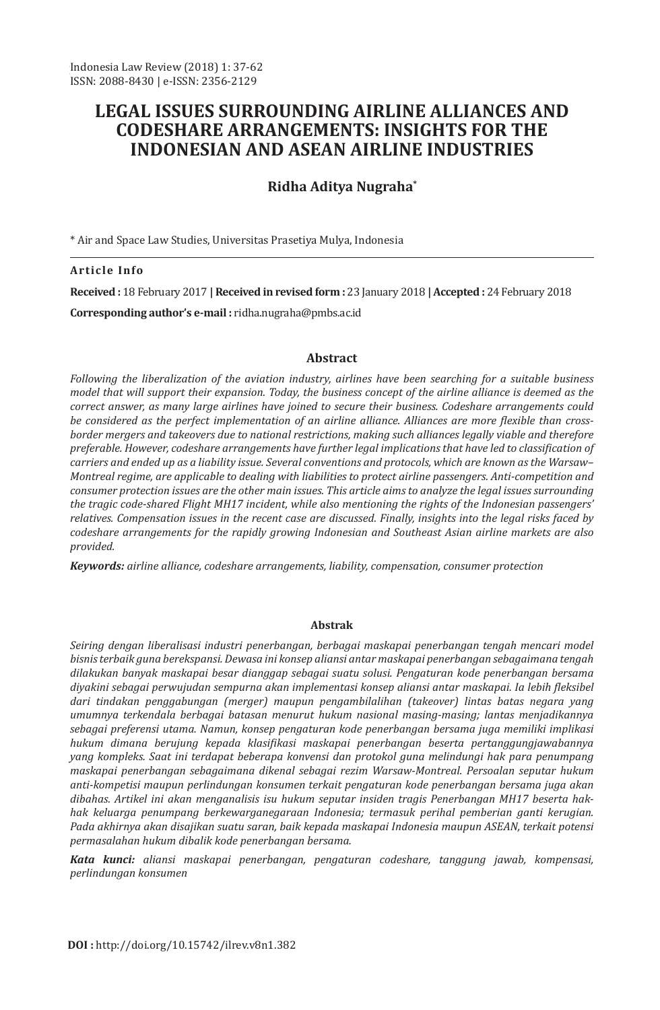# **LEGAL ISSUES SURROUNDING AIRLINE ALLIANCES AND CODESHARE ARRANGEMENTS: INSIGHTS FOR THE INDONESIAN AND ASEAN AIRLINE INDUSTRIES**

## **Ridha Aditya Nugraha\***

\* Air and Space Law Studies, Universitas Prasetiya Mulya, Indonesia

#### **Article Info**

**Received :** 18 February 2017 **| Received in revised form :** 23 January 2018 **| Accepted :** 24 February 2018 **Corresponding author's e-mail :** ridha.nugraha@pmbs.ac.id

#### **Abstract**

*Following the liberalization of the aviation industry, airlines have been searching for a suitable business model that will support their expansion. Today, the business concept of the airline alliance is deemed as the correct answer, as many large airlines have joined to secure their business. Codeshare arrangements could be considered as the perfect implementation of an airline alliance. Alliances are more flexible than crossborder mergers and takeovers due to national restrictions, making such alliances legally viable and therefore preferable. However, codeshare arrangements have further legal implications that have led to classification of carriers and ended up as a liability issue. Several conventions and protocols, which are known as the Warsaw– Montreal regime, are applicable to dealing with liabilities to protect airline passengers. Anti-competition and consumer protection issues are the other main issues. This article aims to analyze the legal issues surrounding the tragic code-shared Flight MH17 incident, while also mentioning the rights of the Indonesian passengers' relatives. Compensation issues in the recent case are discussed. Finally, insights into the legal risks faced by codeshare arrangements for the rapidly growing Indonesian and Southeast Asian airline markets are also provided.*

*Keywords: airline alliance, codeshare arrangements, liability, compensation, consumer protection*

#### **Abstrak**

*Seiring dengan liberalisasi industri penerbangan, berbagai maskapai penerbangan tengah mencari model bisnis terbaik guna berekspansi. Dewasa ini konsep aliansi antar maskapai penerbangan sebagaimana tengah dilakukan banyak maskapai besar dianggap sebagai suatu solusi. Pengaturan kode penerbangan bersama diyakini sebagai perwujudan sempurna akan implementasi konsep aliansi antar maskapai. Ia lebih fleksibel dari tindakan penggabungan (merger) maupun pengambilalihan (takeover) lintas batas negara yang umumnya terkendala berbagai batasan menurut hukum nasional masing-masing; lantas menjadikannya sebagai preferensi utama. Namun, konsep pengaturan kode penerbangan bersama juga memiliki implikasi hukum dimana berujung kepada klasifikasi maskapai penerbangan beserta pertanggungjawabannya yang kompleks. Saat ini terdapat beberapa konvensi dan protokol guna melindungi hak para penumpang maskapai penerbangan sebagaimana dikenal sebagai rezim Warsaw-Montreal. Persoalan seputar hukum anti-kompetisi maupun perlindungan konsumen terkait pengaturan kode penerbangan bersama juga akan dibahas. Artikel ini akan menganalisis isu hukum seputar insiden tragis Penerbangan MH17 beserta hakhak keluarga penumpang berkewarganegaraan Indonesia; termasuk perihal pemberian ganti kerugian. Pada akhirnya akan disajikan suatu saran, baik kepada maskapai Indonesia maupun ASEAN, terkait potensi permasalahan hukum dibalik kode penerbangan bersama.*

*Kata kunci: aliansi maskapai penerbangan, pengaturan codeshare, tanggung jawab, kompensasi, perlindungan konsumen*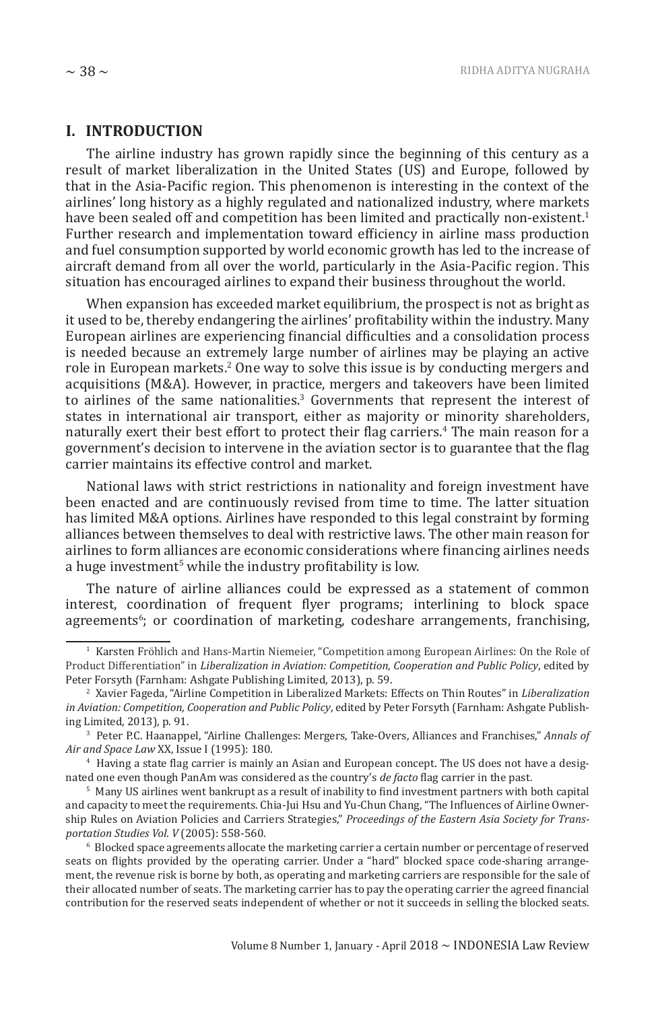#### **I. INTRODUCTION**

The airline industry has grown rapidly since the beginning of this century as a result of market liberalization in the United States (US) and Europe, followed by that in the Asia-Pacific region. This phenomenon is interesting in the context of the airlines' long history as a highly regulated and nationalized industry, where markets have been sealed off and competition has been limited and practically non-existent.<sup>1</sup> Further research and implementation toward efficiency in airline mass production and fuel consumption supported by world economic growth has led to the increase of aircraft demand from all over the world, particularly in the Asia-Pacific region. This situation has encouraged airlines to expand their business throughout the world.

When expansion has exceeded market equilibrium, the prospect is not as bright as it used to be, thereby endangering the airlines' profitability within the industry. Many European airlines are experiencing financial difficulties and a consolidation process is needed because an extremely large number of airlines may be playing an active role in European markets.<sup>2</sup> One way to solve this issue is by conducting mergers and acquisitions (M&A). However, in practice, mergers and takeovers have been limited to airlines of the same nationalities. $3$  Governments that represent the interest of states in international air transport, either as majority or minority shareholders, naturally exert their best effort to protect their flag carriers.<sup>4</sup> The main reason for a government's decision to intervene in the aviation sector is to guarantee that the flag carrier maintains its effective control and market.

National laws with strict restrictions in nationality and foreign investment have been enacted and are continuously revised from time to time. The latter situation has limited M&A options. Airlines have responded to this legal constraint by forming alliances between themselves to deal with restrictive laws. The other main reason for airlines to form alliances are economic considerations where financing airlines needs a huge investment<sup>5</sup> while the industry profitability is low.

The nature of airline alliances could be expressed as a statement of common interest, coordination of frequent flyer programs; interlining to block space agreements<sup>6</sup>; or coordination of marketing, codeshare arrangements, franchising,

<sup>1</sup> Karsten Fröhlich and Hans-Martin Niemeier, "Competition among European Airlines: On the Role of Product Differentiation" in *Liberalization in Aviation: Competition, Cooperation and Public Policy*, edited by Peter Forsyth (Farnham: Ashgate Publishing Limited, 2013), p. 59.

<sup>2</sup> Xavier Fageda, "Airline Competition in Liberalized Markets: Effects on Thin Routes" in *Liberalization in Aviation: Competition, Cooperation and Public Policy*, edited by Peter Forsyth (Farnham: Ashgate Publishing Limited, 2013), p. 91.

<sup>3</sup> Peter P.C. Haanappel, "Airline Challenges: Mergers, Take-Overs, Alliances and Franchises," *Annals of Air and Space Law* XX, Issue I (1995): 180.

<sup>4</sup> Having a state flag carrier is mainly an Asian and European concept. The US does not have a designated one even though PanAm was considered as the country's *de facto* flag carrier in the past.

<sup>5</sup> Many US airlines went bankrupt as a result of inability to find investment partners with both capital and capacity to meet the requirements. Chia-Jui Hsu and Yu-Chun Chang, "The Influences of Airline Ownership Rules on Aviation Policies and Carriers Strategies," *Proceedings of the Eastern Asia Society for Transportation Studies Vol. V* (2005): 558-560.

<sup>6</sup> Blocked space agreements allocate the marketing carrier a certain number or percentage of reserved seats on flights provided by the operating carrier. Under a "hard" blocked space code-sharing arrangement, the revenue risk is borne by both, as operating and marketing carriers are responsible for the sale of their allocated number of seats. The marketing carrier has to pay the operating carrier the agreed financial contribution for the reserved seats independent of whether or not it succeeds in selling the blocked seats.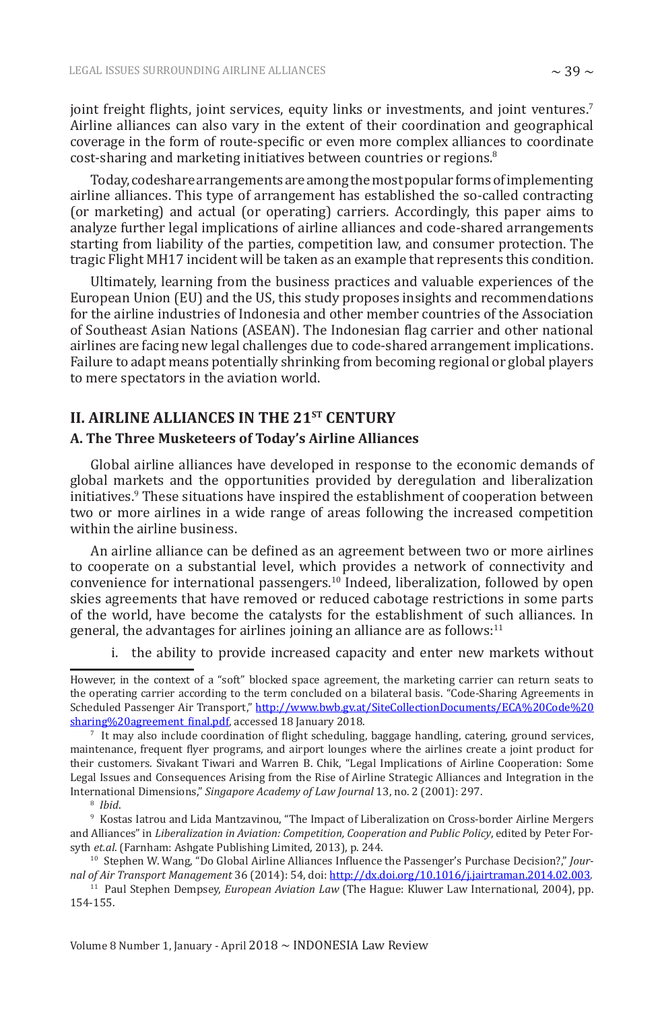joint freight flights, joint services, equity links or investments, and joint ventures.<sup>7</sup> Airline alliances can also vary in the extent of their coordination and geographical coverage in the form of route-specific or even more complex alliances to coordinate cost-sharing and marketing initiatives between countries or regions.<sup>8</sup>

Today, codeshare arrangements are among the most popular forms of implementing airline alliances. This type of arrangement has established the so-called contracting (or marketing) and actual (or operating) carriers. Accordingly, this paper aims to analyze further legal implications of airline alliances and code-shared arrangements starting from liability of the parties, competition law, and consumer protection. The tragic Flight MH17 incident will be taken as an example that represents this condition.

Ultimately, learning from the business practices and valuable experiences of the European Union (EU) and the US, this study proposes insights and recommendations for the airline industries of Indonesia and other member countries of the Association of Southeast Asian Nations (ASEAN). The Indonesian flag carrier and other national airlines are facing new legal challenges due to code-shared arrangement implications. Failure to adapt means potentially shrinking from becoming regional or global players to mere spectators in the aviation world.

## **II. AIRLINE ALLIANCES IN THE 21ST CENTURY A. The Three Musketeers of Today's Airline Alliances**

Global airline alliances have developed in response to the economic demands of global markets and the opportunities provided by deregulation and liberalization initiatives.<sup>9</sup> These situations have inspired the establishment of cooperation between two or more airlines in a wide range of areas following the increased competition within the airline business.

An airline alliance can be defined as an agreement between two or more airlines to cooperate on a substantial level, which provides a network of connectivity and convenience for international passengers.10 Indeed, liberalization, followed by open skies agreements that have removed or reduced cabotage restrictions in some parts of the world, have become the catalysts for the establishment of such alliances. In general, the advantages for airlines joining an alliance are as follows: $11$ 

i. the ability to provide increased capacity and enter new markets without

However, in the context of a "soft" blocked space agreement, the marketing carrier can return seats to the operating carrier according to the term concluded on a bilateral basis. "Code-Sharing Agreements in Scheduled Passenger Air Transport," http://www.bwb.gv.at/SiteCollectionDocuments/ECA%20Code%20 sharing%20agreement final.pdf, accessed 18 January 2018.

<sup>7</sup> It may also include coordination of flight scheduling, baggage handling, catering, ground services, maintenance, frequent flyer programs, and airport lounges where the airlines create a joint product for their customers. Sivakant Tiwari and Warren B. Chik, "Legal Implications of Airline Cooperation: Some Legal Issues and Consequences Arising from the Rise of Airline Strategic Alliances and Integration in the International Dimensions," *Singapore Academy of Law Journal* 13, no. 2 (2001): 297.

<sup>8</sup> *Ibid*.

<sup>9</sup> Kostas Iatrou and Lida Mantzavinou, "The Impact of Liberalization on Cross-border Airline Mergers and Alliances" in *Liberalization in Aviation: Competition, Cooperation and Public Policy*, edited by Peter Forsyth *et.al*. (Farnham: Ashgate Publishing Limited, 2013), p. 244.

<sup>10</sup> Stephen W. Wang, "Do Global Airline Alliances Influence the Passenger's Purchase Decision?," *Journal of Air Transport Management* 36 (2014): 54, doi: http://dx.doi.org/10.1016/j.jairtraman.2014.02.003.

<sup>11</sup> Paul Stephen Dempsey, *European Aviation Law* (The Hague: Kluwer Law International, 2004), pp. 154-155.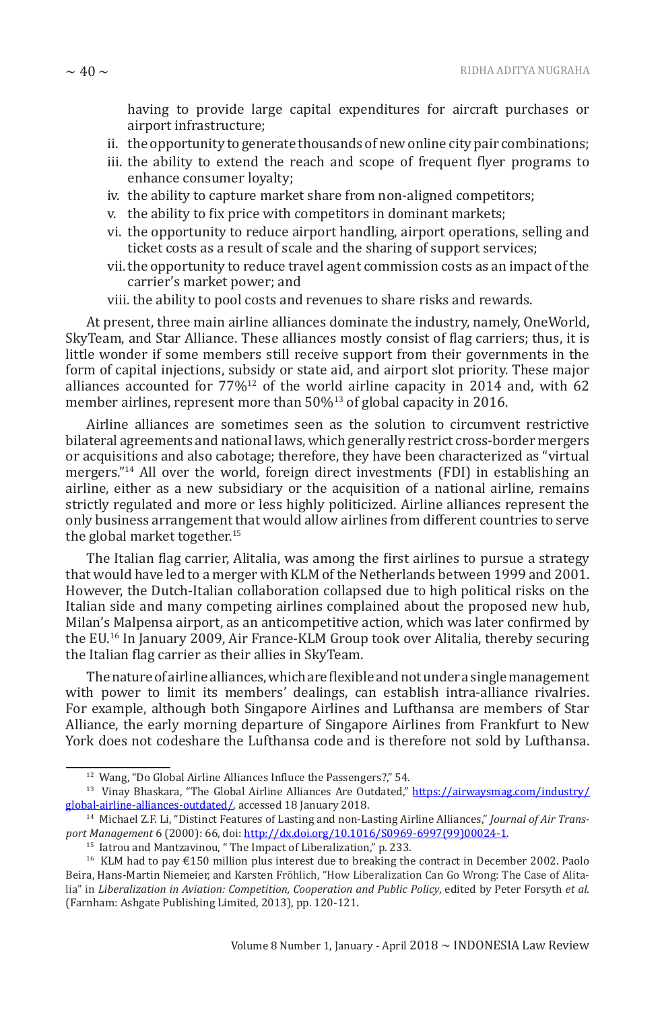having to provide large capital expenditures for aircraft purchases or airport infrastructure;

- ii. the opportunity to generate thousands of new online city pair combinations;
- iii. the ability to extend the reach and scope of frequent flyer programs to enhance consumer loyalty;
- iv. the ability to capture market share from non-aligned competitors;
- v. the ability to fix price with competitors in dominant markets;
- vi. the opportunity to reduce airport handling, airport operations, selling and ticket costs as a result of scale and the sharing of support services;
- vii. the opportunity to reduce travel agent commission costs as an impact of the carrier's market power; and
- viii. the ability to pool costs and revenues to share risks and rewards.

At present, three main airline alliances dominate the industry, namely, OneWorld, SkyTeam, and Star Alliance. These alliances mostly consist of flag carriers; thus, it is little wonder if some members still receive support from their governments in the form of capital injections, subsidy or state aid, and airport slot priority. These major alliances accounted for  $77\frac{12}{12}$  of the world airline capacity in 2014 and, with 62 member airlines, represent more than 50%13 of global capacity in 2016.

Airline alliances are sometimes seen as the solution to circumvent restrictive bilateral agreements and national laws, which generally restrict cross-border mergers or acquisitions and also cabotage; therefore, they have been characterized as "virtual mergers."14 All over the world, foreign direct investments (FDI) in establishing an airline, either as a new subsidiary or the acquisition of a national airline, remains strictly regulated and more or less highly politicized. Airline alliances represent the only business arrangement that would allow airlines from different countries to serve the global market together.<sup>15</sup>

The Italian flag carrier, Alitalia, was among the first airlines to pursue a strategy that would have led to a merger with KLM of the Netherlands between 1999 and 2001. However, the Dutch-Italian collaboration collapsed due to high political risks on the Italian side and many competing airlines complained about the proposed new hub, Milan's Malpensa airport, as an anticompetitive action, which was later confirmed by the EU.16 In January 2009, Air France-KLM Group took over Alitalia, thereby securing the Italian flag carrier as their allies in SkyTeam.

The nature of airline alliances, which are flexible and not under a single management with power to limit its members' dealings, can establish intra-alliance rivalries. For example, although both Singapore Airlines and Lufthansa are members of Star Alliance, the early morning departure of Singapore Airlines from Frankfurt to New York does not codeshare the Lufthansa code and is therefore not sold by Lufthansa.

<sup>12</sup> Wang, "Do Global Airline Alliances Influce the Passengers?," 54.

<sup>&</sup>lt;sup>13</sup> Vinay Bhaskara, "The Global Airline Alliances Are Outdated," https://airwaysmag.com/industry/ global-airline-alliances-outdated/, accessed 18 January 2018.

<sup>14</sup> Michael Z.F. Li, "Distinct Features of Lasting and non-Lasting Airline Alliances," *Journal of Air Transport Management* 6 (2000): 66, doi: http://dx.doi.org/10.1016/S0969-6997(99)00024-1.

<sup>&</sup>lt;sup>15</sup> Iatrou and Mantzavinou, " The Impact of Liberalization," p. 233.

<sup>16</sup> KLM had to pay €150 million plus interest due to breaking the contract in December 2002. Paolo Beira, Hans-Martin Niemeier, and Karsten Fröhlich, "How Liberalization Can Go Wrong: The Case of Alitalia" in *Liberalization in Aviation: Competition, Cooperation and Public Policy*, edited by Peter Forsyth *et al*. (Farnham: Ashgate Publishing Limited, 2013), pp. 120-121.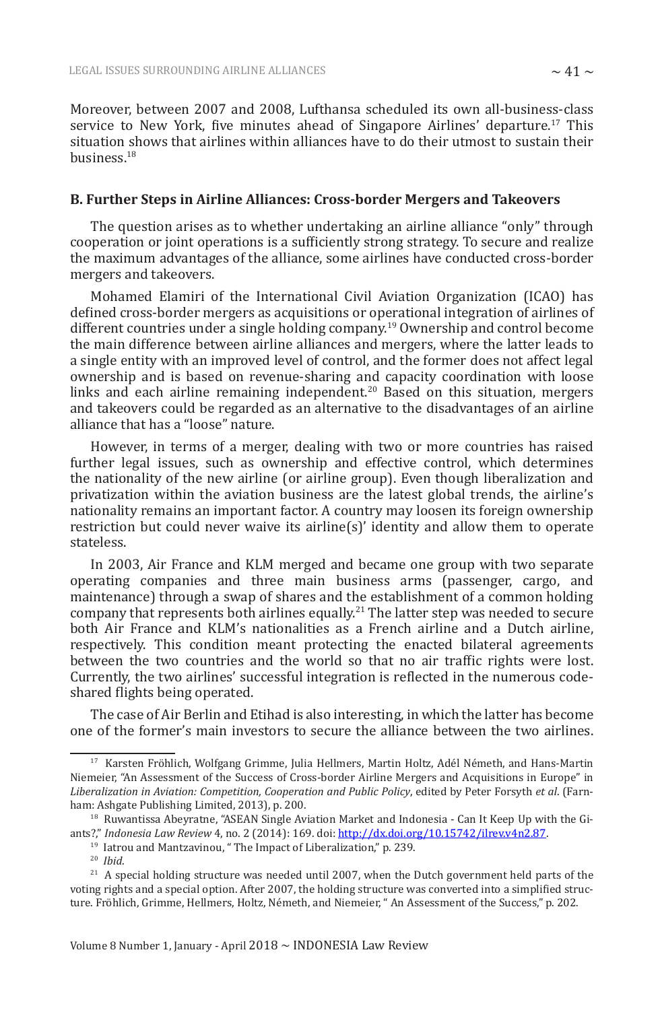Moreover, between 2007 and 2008, Lufthansa scheduled its own all-business-class service to New York, five minutes ahead of Singapore Airlines' departure.<sup>17</sup> This situation shows that airlines within alliances have to do their utmost to sustain their business.<sup>18</sup>

#### **B. Further Steps in Airline Alliances: Cross-border Mergers and Takeovers**

The question arises as to whether undertaking an airline alliance "only" through cooperation or joint operations is a sufficiently strong strategy. To secure and realize the maximum advantages of the alliance, some airlines have conducted cross-border mergers and takeovers.

Mohamed Elamiri of the International Civil Aviation Organization (ICAO) has defined cross-border mergers as acquisitions or operational integration of airlines of different countries under a single holding company.<sup>19</sup> Ownership and control become the main difference between airline alliances and mergers, where the latter leads to a single entity with an improved level of control, and the former does not affect legal ownership and is based on revenue-sharing and capacity coordination with loose links and each airline remaining independent.<sup>20</sup> Based on this situation, mergers and takeovers could be regarded as an alternative to the disadvantages of an airline alliance that has a "loose" nature.

However, in terms of a merger, dealing with two or more countries has raised further legal issues, such as ownership and effective control, which determines the nationality of the new airline (or airline group). Even though liberalization and privatization within the aviation business are the latest global trends, the airline's nationality remains an important factor. A country may loosen its foreign ownership restriction but could never waive its airline(s)' identity and allow them to operate stateless.

In 2003, Air France and KLM merged and became one group with two separate operating companies and three main business arms (passenger, cargo, and maintenance) through a swap of shares and the establishment of a common holding company that represents both airlines equally.<sup>21</sup> The latter step was needed to secure both Air France and KLM's nationalities as a French airline and a Dutch airline, respectively. This condition meant protecting the enacted bilateral agreements between the two countries and the world so that no air traffic rights were lost. Currently, the two airlines' successful integration is reflected in the numerous codeshared flights being operated.

The case of Air Berlin and Etihad is also interesting, in which the latter has become one of the former's main investors to secure the alliance between the two airlines.

<sup>&</sup>lt;sup>17</sup> Karsten Fröhlich, Wolfgang Grimme, Julia Hellmers, Martin Holtz, Adél Németh, and Hans-Martin Niemeier, "An Assessment of the Success of Cross-border Airline Mergers and Acquisitions in Europe" in *Liberalization in Aviation: Competition, Cooperation and Public Policy*, edited by Peter Forsyth *et al*. (Farnham: Ashgate Publishing Limited, 2013), p. 200.

<sup>&</sup>lt;sup>18</sup> Ruwantissa Abeyratne, "ASEAN Single Aviation Market and Indonesia - Can It Keep Up with the Giants?," *Indonesia Law Review* 4, no. 2 (2014): 169. doi: http://dx.doi.org/10.15742/ilrev.v4n2.87.

<sup>19</sup> Iatrou and Mantzavinou, " The Impact of Liberalization," p. 239.

<sup>20</sup> *Ibid*.

<sup>&</sup>lt;sup>21</sup> A special holding structure was needed until 2007, when the Dutch government held parts of the voting rights and a special option. After 2007, the holding structure was converted into a simplified structure. Fröhlich, Grimme, Hellmers, Holtz, Németh, and Niemeier, " An Assessment of the Success," p. 202.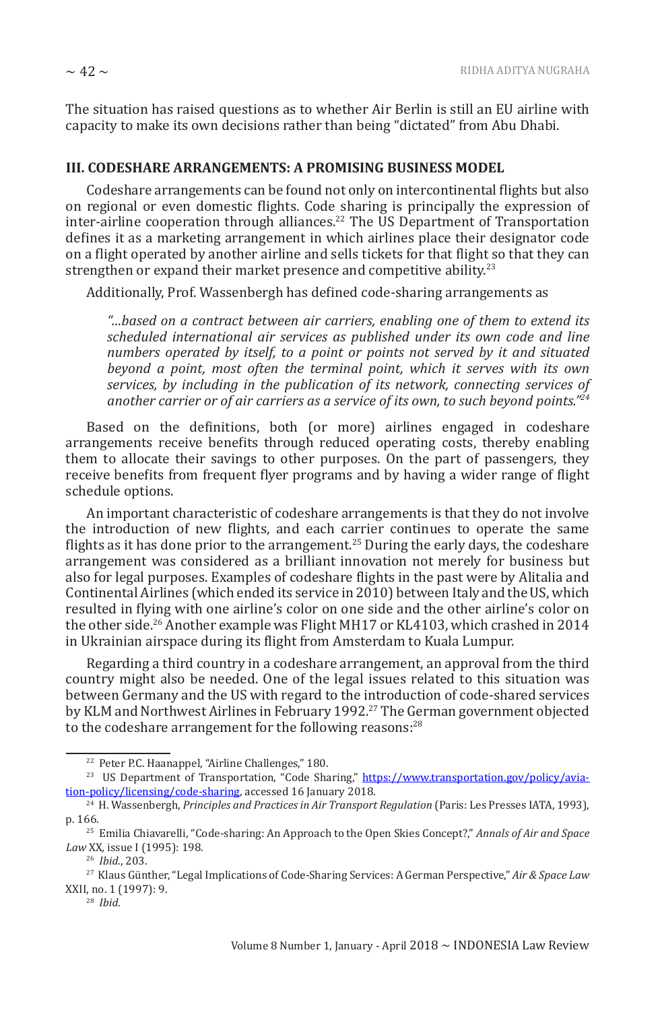The situation has raised questions as to whether Air Berlin is still an EU airline with capacity to make its own decisions rather than being "dictated" from Abu Dhabi.

#### **III. CODESHARE ARRANGEMENTS: A PROMISING BUSINESS MODEL**

Codeshare arrangements can be found not only on intercontinental flights but also on regional or even domestic flights. Code sharing is principally the expression of inter-airline cooperation through alliances.<sup>22</sup> The US Department of Transportation defines it as a marketing arrangement in which airlines place their designator code on a flight operated by another airline and sells tickets for that flight so that they can strengthen or expand their market presence and competitive ability.<sup>23</sup>

Additionally, Prof. Wassenbergh has defined code-sharing arrangements as

*"…based on a contract between air carriers, enabling one of them to extend its scheduled international air services as published under its own code and line numbers operated by itself, to a point or points not served by it and situated beyond a point, most often the terminal point, which it serves with its own services, by including in the publication of its network, connecting services of another carrier or of air carriers as a service of its own, to such beyond points."<sup>24</sup>*

Based on the definitions, both (or more) airlines engaged in codeshare arrangements receive benefits through reduced operating costs, thereby enabling them to allocate their savings to other purposes. On the part of passengers, they receive benefits from frequent flyer programs and by having a wider range of flight schedule options.

An important characteristic of codeshare arrangements is that they do not involve the introduction of new flights, and each carrier continues to operate the same flights as it has done prior to the arrangement.<sup>25</sup> During the early days, the codeshare arrangement was considered as a brilliant innovation not merely for business but also for legal purposes. Examples of codeshare flights in the past were by Alitalia and Continental Airlines (which ended its service in 2010) between Italy and the US, which resulted in flying with one airline's color on one side and the other airline's color on the other side.<sup>26</sup> Another example was Flight MH17 or KL4103, which crashed in 2014 in Ukrainian airspace during its flight from Amsterdam to Kuala Lumpur.

Regarding a third country in a codeshare arrangement, an approval from the third country might also be needed. One of the legal issues related to this situation was between Germany and the US with regard to the introduction of code-shared services by KLM and Northwest Airlines in February 1992.<sup>27</sup> The German government objected to the codeshare arrangement for the following reasons:<sup>28</sup>

<sup>22</sup> Peter P.C. Haanappel, "Airline Challenges," 180.

<sup>&</sup>lt;sup>23</sup> US Department of Transportation, "Code Sharing," https://www.transportation.gov/policy/aviation-policy/licensing/code-sharing, accessed 16 January 2018.

<sup>24</sup> H. Wassenbergh, *Principles and Practices in Air Transport Regulation* (Paris: Les Presses IATA, 1993), p. 166.

<sup>25</sup> Emilia Chiavarelli, "Code-sharing: An Approach to the Open Skies Concept?," *Annals of Air and Space Law* XX*,* issue I (1995): 198.

<sup>26</sup> *Ibid*., 203.

<sup>27</sup> Klaus Günther, "Legal Implications of Code-Sharing Services: A German Perspective," *Air & Space Law* XXII, no. 1 (1997): 9.

<sup>28</sup> *Ibid*.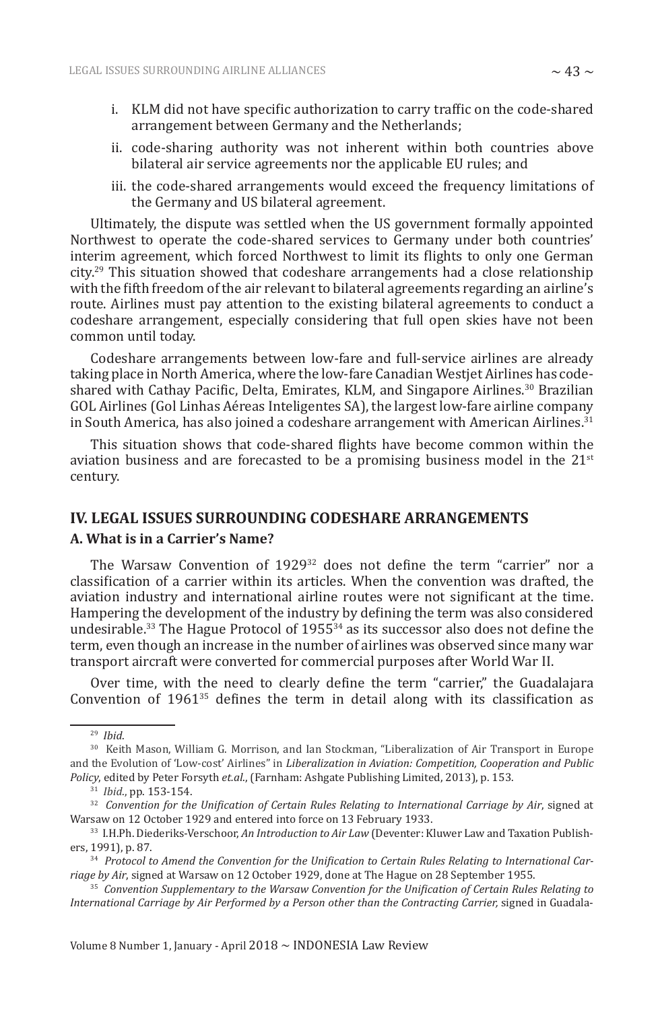- i. KLM did not have specific authorization to carry traffic on the code-shared arrangement between Germany and the Netherlands;
- ii. code-sharing authority was not inherent within both countries above bilateral air service agreements nor the applicable EU rules; and
- iii. the code-shared arrangements would exceed the frequency limitations of the Germany and US bilateral agreement.

Ultimately, the dispute was settled when the US government formally appointed Northwest to operate the code-shared services to Germany under both countries' interim agreement, which forced Northwest to limit its flights to only one German city.29 This situation showed that codeshare arrangements had a close relationship with the fifth freedom of the air relevant to bilateral agreements regarding an airline's route. Airlines must pay attention to the existing bilateral agreements to conduct a codeshare arrangement, especially considering that full open skies have not been common until today.

Codeshare arrangements between low-fare and full-service airlines are already taking place in North America, where the low-fare Canadian Westjet Airlines has codeshared with Cathay Pacific, Delta, Emirates, KLM, and Singapore Airlines.<sup>30</sup> Brazilian GOL Airlines (Gol Linhas Aéreas Inteligentes SA), the largest low-fare airline company in South America, has also joined a codeshare arrangement with American Airlines. $31$ 

This situation shows that code-shared flights have become common within the aviation business and are forecasted to be a promising business model in the  $21<sup>st</sup>$ century.

## **IV. LEGAL ISSUES SURROUNDING CODESHARE ARRANGEMENTS**

#### **A. What is in a Carrier's Name?**

The Warsaw Convention of 1929<sup>32</sup> does not define the term "carrier" nor a classification of a carrier within its articles. When the convention was drafted, the aviation industry and international airline routes were not significant at the time. Hampering the development of the industry by defining the term was also considered undesirable.<sup>33</sup> The Hague Protocol of  $1955^{34}$  as its successor also does not define the term, even though an increase in the number of airlines was observed since many war transport aircraft were converted for commercial purposes after World War II.

Over time, with the need to clearly define the term "carrier," the Guadalajara Convention of  $1961^{35}$  defines the term in detail along with its classification as

29 *Ibid*.

Volume 8 Number 1, January - April 2018 ~ INDONESIA Law Review

<sup>30</sup> Keith Mason, William G. Morrison, and Ian Stockman, "Liberalization of Air Transport in Europe and the Evolution of 'Low-cost' Airlines" in *Liberalization in Aviation: Competition, Cooperation and Public Policy*, edited by Peter Forsyth *et.al*., (Farnham: Ashgate Publishing Limited, 2013), p. 153.

<sup>31</sup> *Ibid*., pp. 153-154.

<sup>32</sup> *Convention for the Unification of Certain Rules Relating to International Carriage by Air*, signed at Warsaw on 12 October 1929 and entered into force on 13 February 1933.

<sup>33</sup> I.H.Ph. Diederiks-Verschoor, *An Introduction to Air Law* (Deventer: Kluwer Law and Taxation Publishers, 1991), p. 87.

<sup>34</sup> *Protocol to Amend the Convention for the Unification to Certain Rules Relating to International Carriage by Air*, signed at Warsaw on 12 October 1929, done at The Hague on 28 September 1955.

<sup>35</sup> *Convention Supplementary to the Warsaw Convention for the Unification of Certain Rules Relating to International Carriage by Air Performed by a Person other than the Contracting Carrier,* signed in Guadala-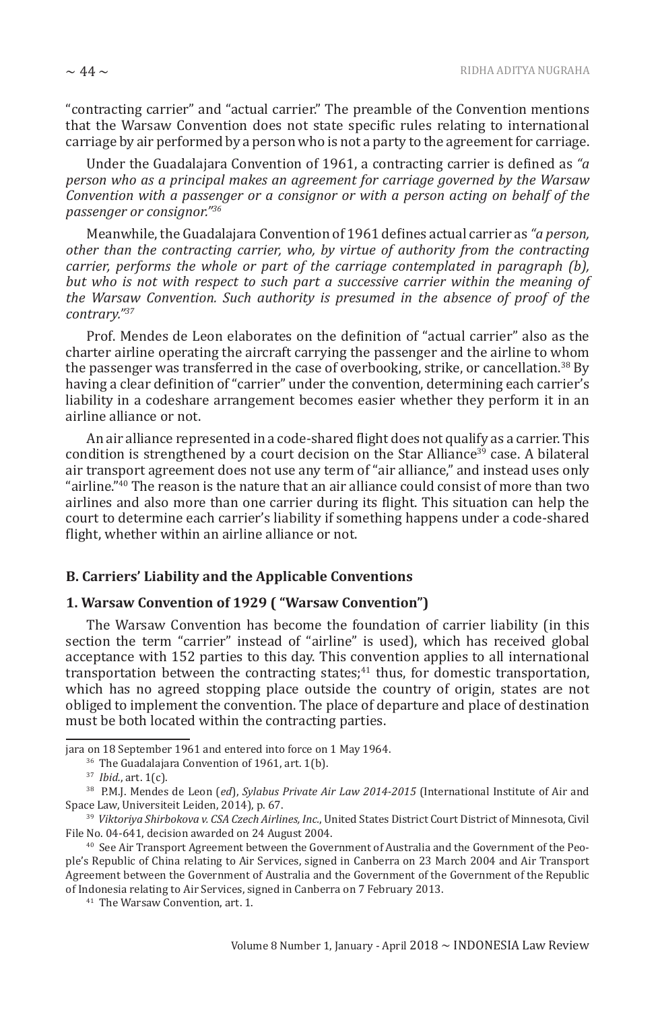"contracting carrier" and "actual carrier." The preamble of the Convention mentions that the Warsaw Convention does not state specific rules relating to international carriage by air performed by a person who is not a party to the agreement for carriage.

Under the Guadalajara Convention of 1961, a contracting carrier is defined as *"a person who as a principal makes an agreement for carriage governed by the Warsaw Convention with a passenger or a consignor or with a person acting on behalf of the passenger or consignor."<sup>36</sup>*

Meanwhile, the Guadalajara Convention of 1961 defines actual carrier as *"a person, other than the contracting carrier, who, by virtue of authority from the contracting carrier, performs the whole or part of the carriage contemplated in paragraph (b), but who is not with respect to such part a successive carrier within the meaning of the Warsaw Convention. Such authority is presumed in the absence of proof of the contrary."<sup>37</sup>*

Prof. Mendes de Leon elaborates on the definition of "actual carrier" also as the charter airline operating the aircraft carrying the passenger and the airline to whom the passenger was transferred in the case of overbooking, strike, or cancellation.38 By having a clear definition of "carrier" under the convention, determining each carrier's liability in a codeshare arrangement becomes easier whether they perform it in an airline alliance or not.

An air alliance represented in a code-shared flight does not qualify as a carrier. This condition is strengthened by a court decision on the Star Alliance<sup>39</sup> case. A bilateral air transport agreement does not use any term of "air alliance," and instead uses only "airline." $40$  The reason is the nature that an air alliance could consist of more than two airlines and also more than one carrier during its flight. This situation can help the court to determine each carrier's liability if something happens under a code-shared flight, whether within an airline alliance or not.

#### **B. Carriers' Liability and the Applicable Conventions**

#### **1. Warsaw Convention of 1929 ( "Warsaw Convention")**

The Warsaw Convention has become the foundation of carrier liability (in this section the term "carrier" instead of "airline" is used), which has received global acceptance with 152 parties to this day. This convention applies to all international transportation between the contracting states;<sup>41</sup> thus, for domestic transportation, which has no agreed stopping place outside the country of origin, states are not obliged to implement the convention. The place of departure and place of destination must be both located within the contracting parties.

jara on 18 September 1961 and entered into force on 1 May 1964.

<sup>&</sup>lt;sup>36</sup> The Guadalajara Convention of 1961, art. 1(b).

<sup>37</sup> *Ibid.*, art. 1(c).

<sup>38</sup> P.M.J. Mendes de Leon (*ed*), *Sylabus Private Air Law 2014-2015* (International Institute of Air and Space Law, Universiteit Leiden, 2014), p. 67.

<sup>39</sup> *Viktoriya Shirbokova v. CSA Czech Airlines, Inc.*, United States District Court District of Minnesota, Civil File No. 04-641, decision awarded on 24 August 2004.

<sup>40</sup> See Air Transport Agreement between the Government of Australia and the Government of the People's Republic of China relating to Air Services, signed in Canberra on 23 March 2004 and Air Transport Agreement between the Government of Australia and the Government of the Government of the Republic of Indonesia relating to Air Services, signed in Canberra on 7 February 2013.

<sup>41</sup> The Warsaw Convention, art. 1.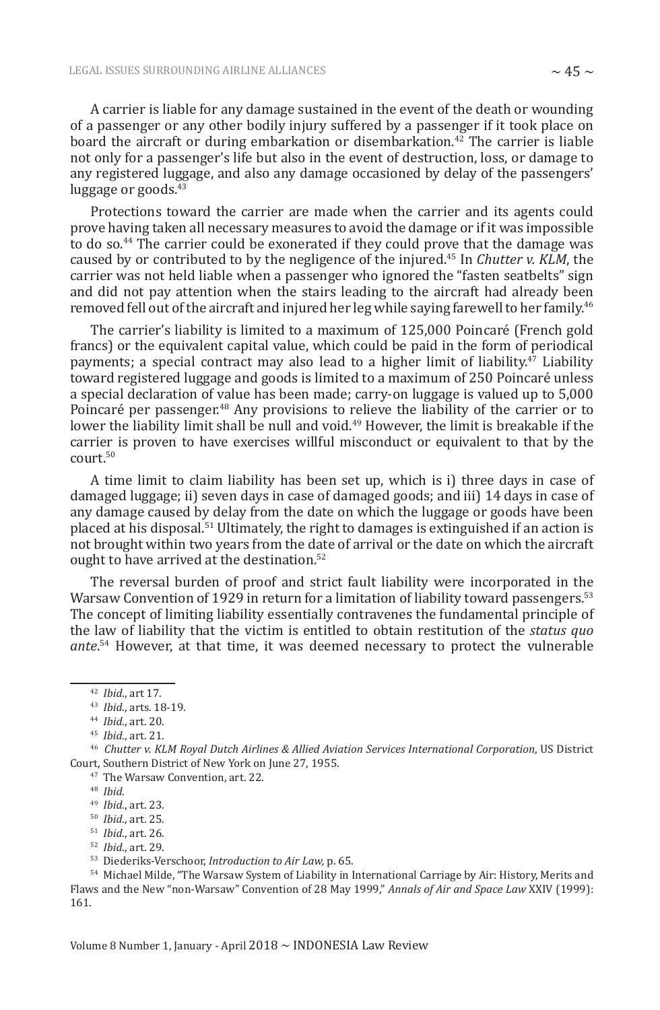A carrier is liable for any damage sustained in the event of the death or wounding of a passenger or any other bodily injury suffered by a passenger if it took place on board the aircraft or during embarkation or disembarkation.<sup>42</sup> The carrier is liable not only for a passenger's life but also in the event of destruction, loss, or damage to any registered luggage, and also any damage occasioned by delay of the passengers' luggage or goods.<sup>43</sup>

Protections toward the carrier are made when the carrier and its agents could prove having taken all necessary measures to avoid the damage or if it was impossible to do so.<sup>44</sup> The carrier could be exonerated if they could prove that the damage was caused by or contributed to by the negligence of the injured.45 In *Chutter v. KLM*, the carrier was not held liable when a passenger who ignored the "fasten seatbelts" sign and did not pay attention when the stairs leading to the aircraft had already been removed fell out of the aircraft and injured her leg while saying farewell to her family.<sup>46</sup>

The carrier's liability is limited to a maximum of 125,000 Poincaré (French gold francs) or the equivalent capital value, which could be paid in the form of periodical payments; a special contract may also lead to a higher limit of liability.<sup>47</sup> Liability toward registered luggage and goods is limited to a maximum of 250 Poincaré unless a special declaration of value has been made; carry-on luggage is valued up to 5,000 Poincaré per passenger.<sup>48</sup> Any provisions to relieve the liability of the carrier or to lower the liability limit shall be null and void.<sup>49</sup> However, the limit is breakable if the carrier is proven to have exercises willful misconduct or equivalent to that by the court.<sup>50</sup>

A time limit to claim liability has been set up, which is i) three days in case of damaged luggage; ii) seven days in case of damaged goods; and iii) 14 days in case of any damage caused by delay from the date on which the luggage or goods have been placed at his disposal.<sup>51</sup> Ultimately, the right to damages is extinguished if an action is not brought within two years from the date of arrival or the date on which the aircraft ought to have arrived at the destination.<sup>52</sup>

The reversal burden of proof and strict fault liability were incorporated in the Warsaw Convention of 1929 in return for a limitation of liability toward passengers.<sup>53</sup> The concept of limiting liability essentially contravenes the fundamental principle of the law of liability that the victim is entitled to obtain restitution of the *status quo ante*. <sup>54</sup> However, at that time, it was deemed necessary to protect the vulnerable

<sup>47</sup> The Warsaw Convention, art. 22.

52 *Ibid*., art. 29.

<sup>42</sup> *Ibid*., art 17.

<sup>43</sup> *Ibid*., arts. 18-19.

<sup>44</sup> *Ibid*., art. 20.

<sup>45</sup> *Ibid*., art. 21.

<sup>46</sup> *Chutter v. KLM Royal Dutch Airlines & Allied Aviation Services International Corporation*, US District Court, Southern District of New York on June 27, 1955.

<sup>48</sup> *Ibid*.

<sup>49</sup> *Ibid*., art. 23.

<sup>50</sup> *Ibid*., art. 25.

<sup>51</sup> *Ibid*., art. 26.

<sup>53</sup> Diederiks-Verschoor, *Introduction to Air Law,* p. 65.

<sup>54</sup> Michael Milde, "The Warsaw System of Liability in International Carriage by Air: History, Merits and Flaws and the New "non-Warsaw" Convention of 28 May 1999," *Annals of Air and Space Law* XXIV (1999): 161.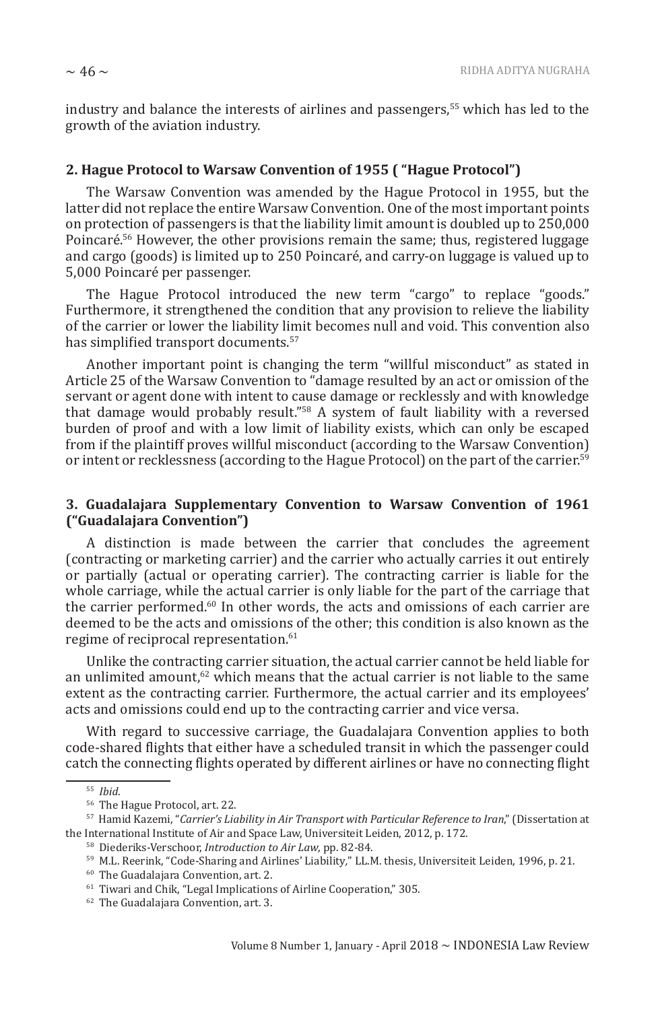industry and balance the interests of airlines and passengers,55 which has led to the growth of the aviation industry.

#### **2. Hague Protocol to Warsaw Convention of 1955 ( "Hague Protocol")**

The Warsaw Convention was amended by the Hague Protocol in 1955, but the latter did not replace the entire Warsaw Convention. One of the most important points on protection of passengers is that the liability limit amount is doubled up to 250,000 Poincaré.<sup>56</sup> However, the other provisions remain the same; thus, registered luggage and cargo (goods) is limited up to 250 Poincaré, and carry-on luggage is valued up to 5,000 Poincaré per passenger.

The Hague Protocol introduced the new term "cargo" to replace "goods." Furthermore, it strengthened the condition that any provision to relieve the liability of the carrier or lower the liability limit becomes null and void. This convention also has simplified transport documents.<sup>57</sup>

Another important point is changing the term "willful misconduct" as stated in Article 25 of the Warsaw Convention to "damage resulted by an act or omission of the servant or agent done with intent to cause damage or recklessly and with knowledge that damage would probably result."58 A system of fault liability with a reversed burden of proof and with a low limit of liability exists, which can only be escaped from if the plaintiff proves willful misconduct (according to the Warsaw Convention) or intent or recklessness (according to the Hague Protocol) on the part of the carrier.<sup>59</sup>

#### **3. Guadalajara Supplementary Convention to Warsaw Convention of 1961 ("Guadalajara Convention")**

A distinction is made between the carrier that concludes the agreement (contracting or marketing carrier) and the carrier who actually carries it out entirely or partially (actual or operating carrier). The contracting carrier is liable for the whole carriage, while the actual carrier is only liable for the part of the carriage that the carrier performed.60 In other words, the acts and omissions of each carrier are deemed to be the acts and omissions of the other; this condition is also known as the regime of reciprocal representation.<sup>61</sup>

Unlike the contracting carrier situation, the actual carrier cannot be held liable for an unlimited amount, $62$  which means that the actual carrier is not liable to the same extent as the contracting carrier. Furthermore, the actual carrier and its employees' acts and omissions could end up to the contracting carrier and vice versa.

With regard to successive carriage, the Guadalajara Convention applies to both code-shared flights that either have a scheduled transit in which the passenger could catch the connecting flights operated by different airlines or have no connecting flight

<sup>55</sup> *Ibid*.

<sup>56</sup> The Hague Protocol, art. 22.

<sup>57</sup> Hamid Kazemi, "*Carrier's Liability in Air Transport with Particular Reference to Iran*," (Dissertation at the International Institute of Air and Space Law, Universiteit Leiden, 2012, p. 172.

<sup>58</sup> Diederiks-Verschoor, *Introduction to Air Law*, pp. 82-84.

<sup>59</sup> M.L. Reerink, "Code-Sharing and Airlines' Liability*,*" LL.M. thesis, Universiteit Leiden, 1996, p. 21.

<sup>60</sup> The Guadalajara Convention, art. 2.

<sup>61</sup> Tiwari and Chik, "Legal Implications of Airline Cooperation," 305.

<sup>62</sup> The Guadalajara Convention, art. 3.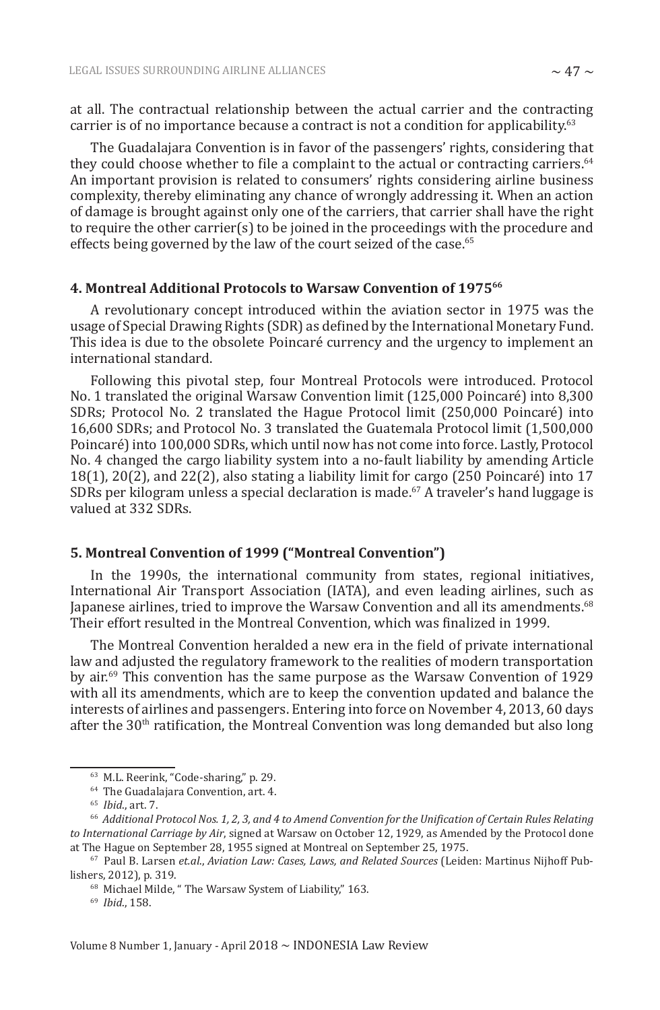at all. The contractual relationship between the actual carrier and the contracting carrier is of no importance because a contract is not a condition for applicability.<sup>63</sup>

The Guadalajara Convention is in favor of the passengers' rights, considering that they could choose whether to file a complaint to the actual or contracting carriers.<sup>64</sup> An important provision is related to consumers' rights considering airline business complexity, thereby eliminating any chance of wrongly addressing it. When an action of damage is brought against only one of the carriers, that carrier shall have the right to require the other carrier(s) to be joined in the proceedings with the procedure and effects being governed by the law of the court seized of the case.<sup>65</sup>

#### **4. Montreal Additional Protocols to Warsaw Convention of 1975<sup>66</sup>**

A revolutionary concept introduced within the aviation sector in 1975 was the usage of Special Drawing Rights (SDR) as defined by the International Monetary Fund. This idea is due to the obsolete Poincaré currency and the urgency to implement an international standard.

Following this pivotal step, four Montreal Protocols were introduced. Protocol No. 1 translated the original Warsaw Convention limit (125,000 Poincaré) into 8,300 SDRs; Protocol No. 2 translated the Hague Protocol limit (250,000 Poincaré) into 16,600 SDRs; and Protocol No. 3 translated the Guatemala Protocol limit (1,500,000 Poincaré) into 100,000 SDRs, which until now has not come into force. Lastly, Protocol No. 4 changed the cargo liability system into a no-fault liability by amending Article  $18(1)$ ,  $20(2)$ , and  $22(2)$ , also stating a liability limit for cargo  $(250 \text{ Poincaré})$  into 17 SDRs per kilogram unless a special declaration is made.<sup>67</sup> A traveler's hand luggage is valued at 332 SDRs.

#### **5. Montreal Convention of 1999 ("Montreal Convention")**

In the 1990s, the international community from states, regional initiatives, International Air Transport Association (IATA), and even leading airlines, such as Japanese airlines, tried to improve the Warsaw Convention and all its amendments.<sup>68</sup> Their effort resulted in the Montreal Convention, which was finalized in 1999.

The Montreal Convention heralded a new era in the field of private international law and adjusted the regulatory framework to the realities of modern transportation by air.<sup>69</sup> This convention has the same purpose as the Warsaw Convention of 1929 with all its amendments, which are to keep the convention updated and balance the interests of airlines and passengers. Entering into force on November 4, 2013, 60 days after the  $30<sup>th</sup>$  ratification, the Montreal Convention was long demanded but also long

<sup>63</sup> M.L. Reerink, "Code-sharing," p. 29.

<sup>64</sup> The Guadalajara Convention, art. 4.

<sup>65</sup> *Ibid*., art. 7.

 $^{66}$  Additional Protocol Nos. 1, 2, 3, and 4 to Amend Convention for the Unification of Certain Rules Relating *to International Carriage by Air*, signed at Warsaw on October 12, 1929, as Amended by the Protocol done at The Hague on September 28, 1955 signed at Montreal on September 25, 1975.

<sup>67</sup> Paul B. Larsen *et.al*., *Aviation Law: Cases, Laws, and Related Sources* (Leiden: Martinus Nijhoff Publishers, 2012), p. 319.

<sup>68</sup> Michael Milde, " The Warsaw System of Liability," 163.

<sup>69</sup> *Ibid*., 158.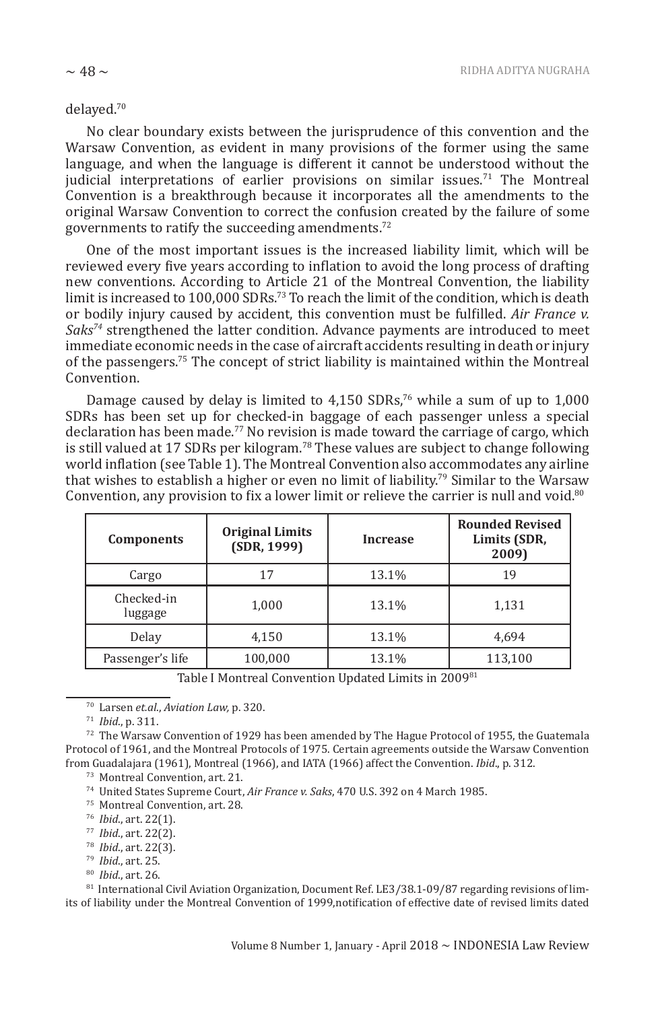#### delayed.<sup>70</sup>

No clear boundary exists between the jurisprudence of this convention and the Warsaw Convention, as evident in many provisions of the former using the same language, and when the language is different it cannot be understood without the judicial interpretations of earlier provisions on similar issues.<sup>71</sup> The Montreal Convention is a breakthrough because it incorporates all the amendments to the original Warsaw Convention to correct the confusion created by the failure of some governments to ratify the succeeding amendments.<sup>72</sup>

One of the most important issues is the increased liability limit, which will be reviewed every five years according to inflation to avoid the long process of drafting new conventions. According to Article 21 of the Montreal Convention, the liability limit is increased to 100,000 SDRs.<sup>73</sup> To reach the limit of the condition, which is death or bodily injury caused by accident, this convention must be fulfilled. *Air France v. Saks<sup>74</sup>* strengthened the latter condition. Advance payments are introduced to meet immediate economic needs in the case of aircraft accidents resulting in death or injury of the passengers.75 The concept of strict liability is maintained within the Montreal Convention.

Damage caused by delay is limited to  $4,150$  SDRs,<sup>76</sup> while a sum of up to  $1,000$ SDRs has been set up for checked-in baggage of each passenger unless a special declaration has been made.<sup>77</sup> No revision is made toward the carriage of cargo, which is still valued at 17 SDRs per kilogram.<sup>78</sup> These values are subject to change following world inflation (see Table 1). The Montreal Convention also accommodates any airline that wishes to establish a higher or even no limit of liability.79 Similar to the Warsaw Convention, any provision to fix a lower limit or relieve the carrier is null and void.<sup>80</sup>

| <b>Components</b>     | <b>Original Limits</b><br>(SDR, 1999) | <b>Increase</b> | <b>Rounded Revised</b><br>Limits (SDR,<br>2009) |
|-----------------------|---------------------------------------|-----------------|-------------------------------------------------|
| Cargo                 | 17                                    | 13.1%           | 19                                              |
| Checked-in<br>luggage | 1,000                                 | 13.1%           | 1,131                                           |
| Delay                 | 4,150                                 | 13.1%           | 4.694                                           |
| Passenger's life      | 100,000                               | 13.1%           | 113,100                                         |

Table I Montreal Convention Updated Limits in 2009<sup>81</sup>

 $72$  The Warsaw Convention of 1929 has been amended by The Hague Protocol of 1955, the Guatemala Protocol of 1961, and the Montreal Protocols of 1975. Certain agreements outside the Warsaw Convention from Guadalajara (1961), Montreal (1966), and IATA (1966) affect the Convention. *Ibid*., p. 312.

<sup>73</sup> Montreal Convention, art. 21.

<sup>74</sup> United States Supreme Court, *Air France v. Saks*, 470 U.S. 392 on 4 March 1985.

<sup>75</sup> Montreal Convention, art. 28.

- 76 *Ibid*., art. 22(1).
- 77 *Ibid*., art. 22(2).
- 78 *Ibid*., art. 22(3).
- 79 *Ibid*., art. 25.
- 80 *Ibid*., art. 26.

<sup>81</sup> International Civil Aviation Organization, Document Ref. LE3/38.1-09/87 regarding revisions of limits of liability under the Montreal Convention of 1999,notification of effective date of revised limits dated

<sup>70</sup> Larsen *et.al*., *Aviation Law,* p. 320.

<sup>71</sup> *Ibid*., p. 311.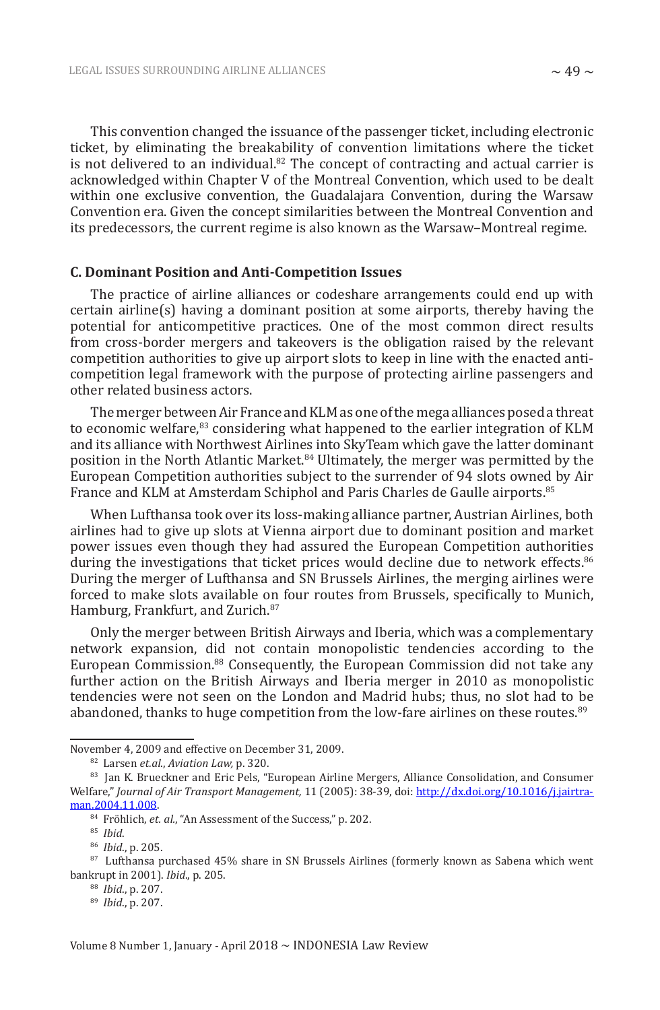This convention changed the issuance of the passenger ticket, including electronic ticket, by eliminating the breakability of convention limitations where the ticket is not delivered to an individual.<sup>82</sup> The concept of contracting and actual carrier is acknowledged within Chapter V of the Montreal Convention, which used to be dealt within one exclusive convention, the Guadalajara Convention, during the Warsaw Convention era. Given the concept similarities between the Montreal Convention and its predecessors, the current regime is also known as the Warsaw–Montreal regime.

#### **C. Dominant Position and Anti-Competition Issues**

The practice of airline alliances or codeshare arrangements could end up with certain airline(s) having a dominant position at some airports, thereby having the potential for anticompetitive practices. One of the most common direct results from cross-border mergers and takeovers is the obligation raised by the relevant competition authorities to give up airport slots to keep in line with the enacted anticompetition legal framework with the purpose of protecting airline passengers and other related business actors.

The merger between Air France and KLM as one of the mega alliances posed a threat to economic welfare,<sup>83</sup> considering what happened to the earlier integration of KLM and its alliance with Northwest Airlines into SkyTeam which gave the latter dominant position in the North Atlantic Market.<sup>84</sup> Ultimately, the merger was permitted by the European Competition authorities subject to the surrender of 94 slots owned by Air France and KLM at Amsterdam Schiphol and Paris Charles de Gaulle airports.<sup>85</sup>

When Lufthansa took over its loss-making alliance partner, Austrian Airlines, both airlines had to give up slots at Vienna airport due to dominant position and market power issues even though they had assured the European Competition authorities during the investigations that ticket prices would decline due to network effects.<sup>86</sup> During the merger of Lufthansa and SN Brussels Airlines, the merging airlines were forced to make slots available on four routes from Brussels, specifically to Munich, Hamburg, Frankfurt, and Zurich.<sup>87</sup>

Only the merger between British Airways and Iberia, which was a complementary network expansion, did not contain monopolistic tendencies according to the European Commission.<sup>88</sup> Consequently, the European Commission did not take any further action on the British Airways and Iberia merger in 2010 as monopolistic tendencies were not seen on the London and Madrid hubs; thus, no slot had to be abandoned, thanks to huge competition from the low-fare airlines on these routes.<sup>89</sup>

November 4, 2009 and effective on December 31, 2009.

<sup>82</sup> Larsen *et.al*., *Aviation Law,* p. 320.

<sup>83</sup> Jan K. Brueckner and Eric Pels, "European Airline Mergers, Alliance Consolidation, and Consumer Welfare," *Journal of Air Transport Management,* 11 (2005): 38-39, doi: http://dx.doi.org/10.1016/j.jairtraman.2004.11.008.

<sup>&</sup>lt;sup>84</sup> Fröhlich, et. al., "An Assessment of the Success," p. 202.

<sup>85</sup> *Ibid*.

<sup>86</sup> *Ibid*., p. 205.

<sup>87</sup> Lufthansa purchased 45% share in SN Brussels Airlines (formerly known as Sabena which went bankrupt in 2001). *Ibid*., p. 205.

<sup>88</sup> *Ibid*., p. 207.

<sup>89</sup> *Ibid*., p. 207.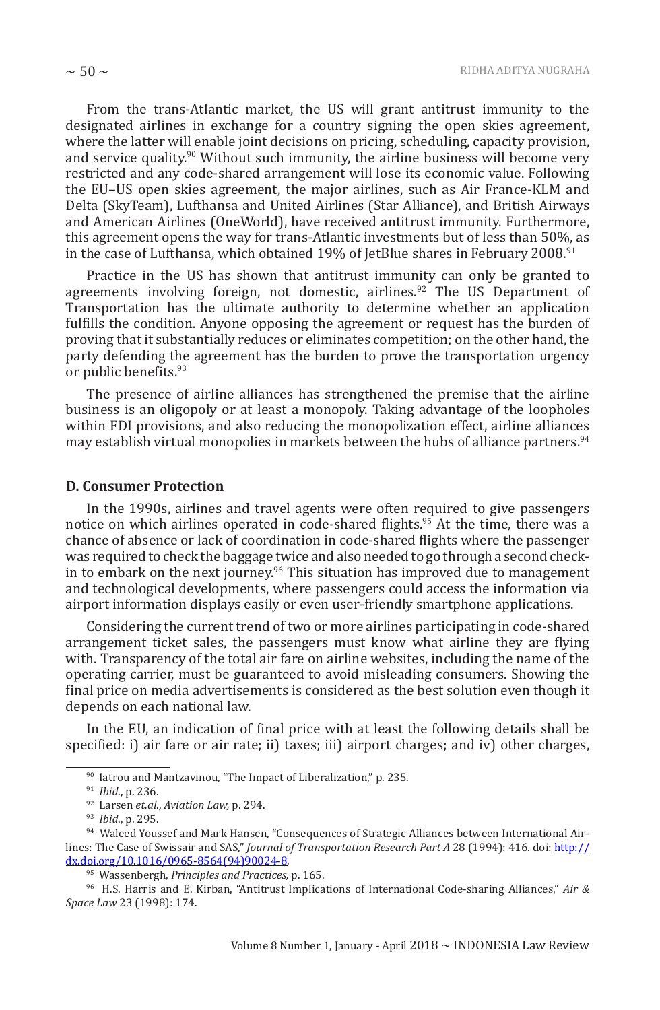From the trans-Atlantic market, the US will grant antitrust immunity to the designated airlines in exchange for a country signing the open skies agreement, where the latter will enable joint decisions on pricing, scheduling, capacity provision, and service quality. $90$  Without such immunity, the airline business will become very restricted and any code-shared arrangement will lose its economic value. Following the EU–US open skies agreement, the major airlines, such as Air France-KLM and Delta (SkyTeam), Lufthansa and United Airlines (Star Alliance), and British Airways and American Airlines (OneWorld), have received antitrust immunity. Furthermore, this agreement opens the way for trans-Atlantic investments but of less than 50%, as in the case of Lufthansa, which obtained 19% of JetBlue shares in February 2008.<sup>91</sup>

Practice in the US has shown that antitrust immunity can only be granted to agreements involving foreign, not domestic, airlines.<sup>92</sup> The US Department of Transportation has the ultimate authority to determine whether an application fulfills the condition. Anyone opposing the agreement or request has the burden of proving that it substantially reduces or eliminates competition; on the other hand, the party defending the agreement has the burden to prove the transportation urgency or public benefits.<sup>93</sup>

The presence of airline alliances has strengthened the premise that the airline business is an oligopoly or at least a monopoly. Taking advantage of the loopholes within FDI provisions, and also reducing the monopolization effect, airline alliances may establish virtual monopolies in markets between the hubs of alliance partners.<sup>94</sup>

#### **D. Consumer Protection**

In the 1990s, airlines and travel agents were often required to give passengers notice on which airlines operated in code-shared flights.<sup>95</sup> At the time, there was a chance of absence or lack of coordination in code-shared flights where the passenger was required to check the baggage twice and also needed to go through a second checkin to embark on the next journey.<sup>96</sup> This situation has improved due to management and technological developments, where passengers could access the information via airport information displays easily or even user-friendly smartphone applications.

Considering the current trend of two or more airlines participating in code-shared arrangement ticket sales, the passengers must know what airline they are flying with. Transparency of the total air fare on airline websites, including the name of the operating carrier, must be guaranteed to avoid misleading consumers. Showing the final price on media advertisements is considered as the best solution even though it depends on each national law.

In the EU, an indication of final price with at least the following details shall be specified: i) air fare or air rate; ii) taxes; iii) airport charges; and iv) other charges,

<sup>90</sup> Iatrou and Mantzavinou, "The Impact of Liberalization," p. 235.

<sup>91</sup> *Ibid*., p. 236.

<sup>92</sup> Larsen *et.al*., *Aviation Law,* p. 294.

<sup>93</sup> *Ibid*., p. 295.

<sup>94</sup> Waleed Youssef and Mark Hansen, "Consequences of Strategic Alliances between International Airlines: The Case of Swissair and SAS," *Journal of Transportation Research Part A* 28 (1994): 416. doi: http:// dx.doi.org/10.1016/0965-8564(94)90024-8.

<sup>95</sup> Wassenbergh, *Principles and Practices,* p. 165.

<sup>96</sup> H.S. Harris and E. Kirban, "Antitrust Implications of International Code-sharing Alliances," *Air & Space Law* 23 (1998): 174.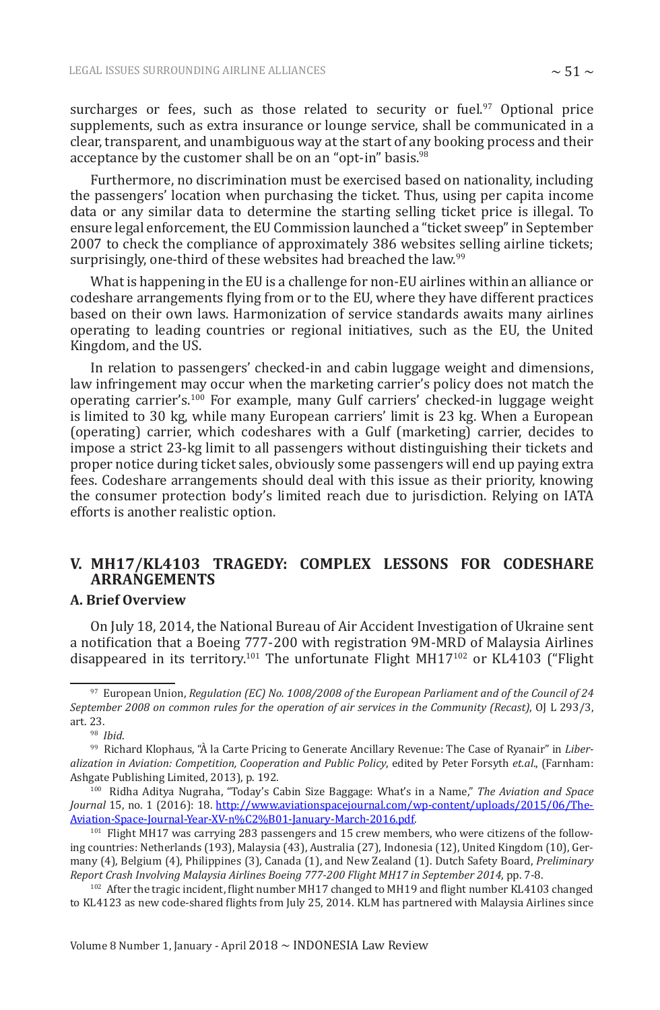surcharges or fees, such as those related to security or fuel. $97$  Optional price supplements, such as extra insurance or lounge service, shall be communicated in a clear, transparent, and unambiguous way at the start of any booking process and their acceptance by the customer shall be on an "opt-in" basis.<sup>98</sup>

Furthermore, no discrimination must be exercised based on nationality, including the passengers' location when purchasing the ticket. Thus, using per capita income data or any similar data to determine the starting selling ticket price is illegal. To ensure legal enforcement, the EU Commission launched a "ticket sweep" in September 2007 to check the compliance of approximately 386 websites selling airline tickets; surprisingly, one-third of these websites had breached the law.<sup>99</sup>

What is happening in the EU is a challenge for non-EU airlines within an alliance or codeshare arrangements flying from or to the EU, where they have different practices based on their own laws. Harmonization of service standards awaits many airlines operating to leading countries or regional initiatives, such as the EU, the United Kingdom, and the US.

In relation to passengers' checked-in and cabin luggage weight and dimensions, law infringement may occur when the marketing carrier's policy does not match the operating carrier's.<sup>100</sup> For example, many Gulf carriers' checked-in luggage weight is limited to 30 kg, while many European carriers' limit is 23 kg. When a European (operating) carrier, which codeshares with a Gulf (marketing) carrier, decides to impose a strict 23-kg limit to all passengers without distinguishing their tickets and proper notice during ticket sales, obviously some passengers will end up paying extra fees. Codeshare arrangements should deal with this issue as their priority, knowing the consumer protection body's limited reach due to jurisdiction. Relying on IATA efforts is another realistic option.

## **V. MH17/KL4103 TRAGEDY: COMPLEX LESSONS FOR CODESHARE ARRANGEMENTS**

## **A. Brief Overview**

On July 18, 2014, the National Bureau of Air Accident Investigation of Ukraine sent a notification that a Boeing 777-200 with registration 9M-MRD of Malaysia Airlines disappeared in its territory.101 The unfortunate Flight MH17102 or KL4103 ("Flight

<sup>97</sup> European Union, *Regulation (EC) No. 1008/2008 of the European Parliament and of the Council of 24 September 2008 on common rules for the operation of air services in the Community (Recast)*, OJ L 293/3, art. 23.

<sup>98</sup> *Ibid*.

<sup>99</sup> Richard Klophaus, "À la Carte Pricing to Generate Ancillary Revenue: The Case of Ryanair" in *Liberalization in Aviation: Competition, Cooperation and Public Policy*, edited by Peter Forsyth *et.al*., (Farnham: Ashgate Publishing Limited, 2013), p. 192.

<sup>100</sup> Ridha Aditya Nugraha, "Today's Cabin Size Baggage: What's in a Name," *The Aviation and Space Journal* 15, no. 1 (2016): 18. http://www.aviationspacejournal.com/wp-content/uploads/2015/06/The-Aviation-Space-Journal-Year-XV-n%C2%B01-January-March-2016.pdf.

<sup>&</sup>lt;sup>101</sup> Flight MH17 was carrying 283 passengers and 15 crew members, who were citizens of the following countries: Netherlands (193), Malaysia (43), Australia (27), Indonesia (12), United Kingdom (10), Germany (4), Belgium (4), Philippines (3), Canada (1), and New Zealand (1). Dutch Safety Board, *Preliminary Report Crash Involving Malaysia Airlines Boeing 777-200 Flight MH17 in September 2014*, pp. 7-8.

<sup>&</sup>lt;sup>102</sup> After the tragic incident, flight number MH17 changed to MH19 and flight number KL4103 changed to KL4123 as new code-shared flights from July 25, 2014. KLM has partnered with Malaysia Airlines since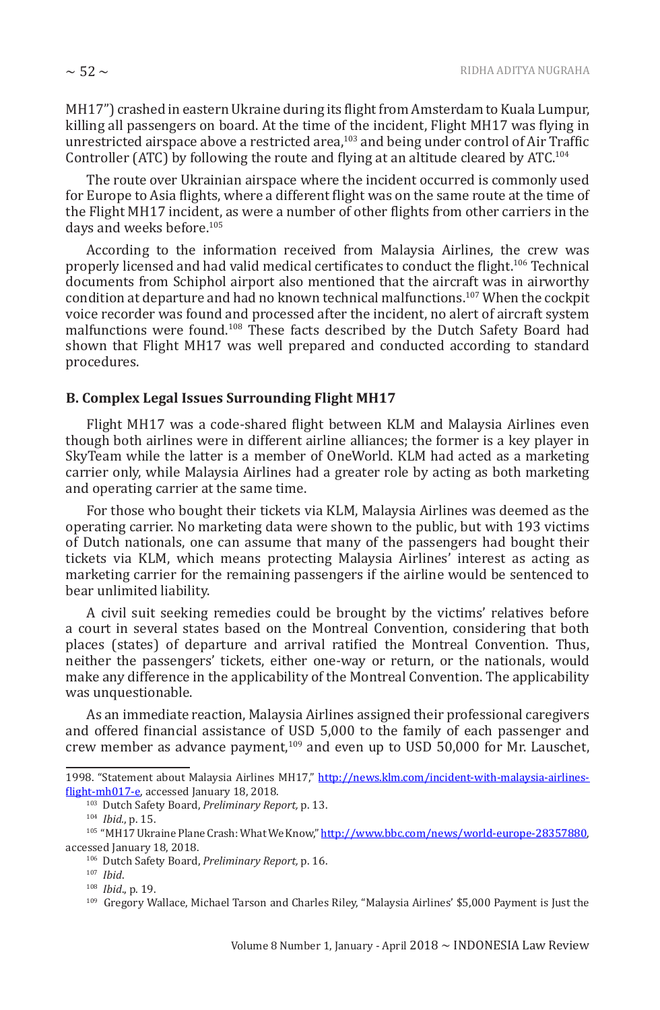MH17") crashed in eastern Ukraine during its flight from Amsterdam to Kuala Lumpur, killing all passengers on board. At the time of the incident, Flight MH17 was flying in unrestricted airspace above a restricted area,<sup>103</sup> and being under control of Air Traffic Controller (ATC) by following the route and flying at an altitude cleared by ATC.<sup>104</sup>

The route over Ukrainian airspace where the incident occurred is commonly used for Europe to Asia flights, where a different flight was on the same route at the time of the Flight MH17 incident, as were a number of other flights from other carriers in the days and weeks before.<sup>105</sup>

According to the information received from Malaysia Airlines, the crew was properly licensed and had valid medical certificates to conduct the flight.<sup>106</sup> Technical documents from Schiphol airport also mentioned that the aircraft was in airworthy condition at departure and had no known technical malfunctions.107 When the cockpit voice recorder was found and processed after the incident, no alert of aircraft system malfunctions were found.<sup>108</sup> These facts described by the Dutch Safety Board had shown that Flight MH17 was well prepared and conducted according to standard procedures.

#### **B. Complex Legal Issues Surrounding Flight MH17**

Flight MH17 was a code-shared flight between KLM and Malaysia Airlines even though both airlines were in different airline alliances; the former is a key player in SkyTeam while the latter is a member of OneWorld. KLM had acted as a marketing carrier only, while Malaysia Airlines had a greater role by acting as both marketing and operating carrier at the same time.

For those who bought their tickets via KLM, Malaysia Airlines was deemed as the operating carrier. No marketing data were shown to the public, but with 193 victims of Dutch nationals, one can assume that many of the passengers had bought their tickets via KLM, which means protecting Malaysia Airlines' interest as acting as marketing carrier for the remaining passengers if the airline would be sentenced to bear unlimited liability.

A civil suit seeking remedies could be brought by the victims' relatives before a court in several states based on the Montreal Convention, considering that both places (states) of departure and arrival ratified the Montreal Convention. Thus, neither the passengers' tickets, either one-way or return, or the nationals, would make any difference in the applicability of the Montreal Convention. The applicability was unquestionable.

As an immediate reaction, Malaysia Airlines assigned their professional caregivers and offered financial assistance of USD 5,000 to the family of each passenger and crew member as advance payment,109 and even up to USD 50,000 for Mr. Lauschet,

<sup>1998. &</sup>quot;Statement about Malaysia Airlines MH17," http://news.klm.com/incident-with-malaysia-airlinesflight-mh017-e, accessed January 18, 2018.

<sup>103</sup> Dutch Safety Board, *Preliminary Report,* p. 13.

<sup>104</sup> *Ibid.*, p. 15.

<sup>&</sup>lt;sup>105</sup> "MH17 Ukraine Plane Crash: What We Know," http://www.bbc.com/news/world-europe-28357880, accessed January 18, 2018.

<sup>106</sup> Dutch Safety Board, *Preliminary Report,* p. 16.

<sup>107</sup> *Ibid*.

<sup>108</sup> *Ibid*., p. 19.

<sup>109</sup> Gregory Wallace, Michael Tarson and Charles Riley, "Malaysia Airlines' \$5,000 Payment is Just the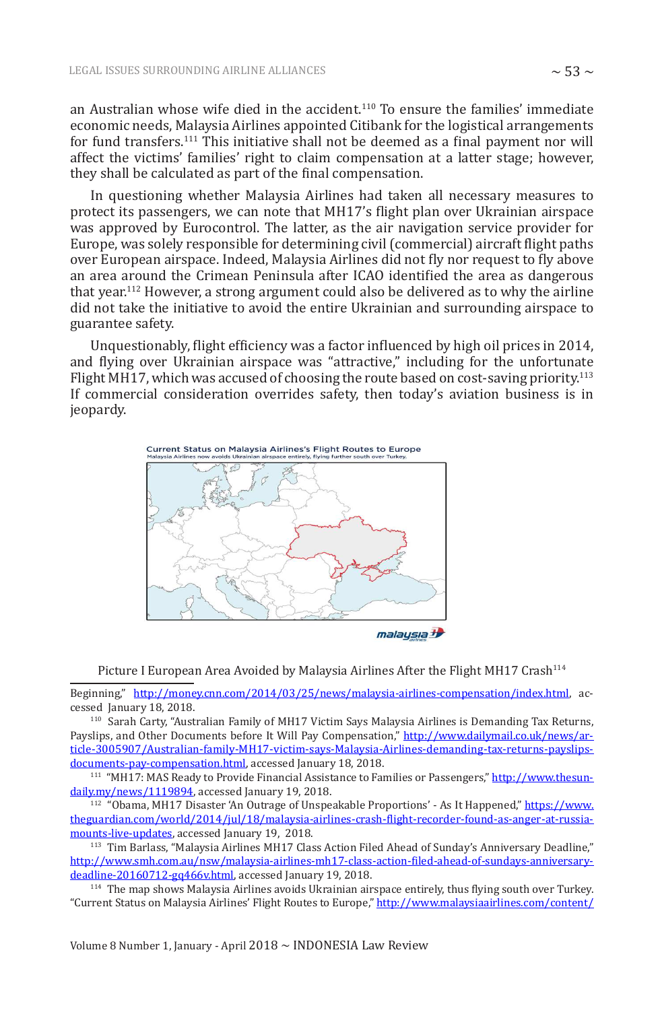an Australian whose wife died in the accident.110 To ensure the families' immediate economic needs, Malaysia Airlines appointed Citibank for the logistical arrangements for fund transfers.<sup>111</sup> This initiative shall not be deemed as a final payment nor will affect the victims' families' right to claim compensation at a latter stage; however, they shall be calculated as part of the final compensation.

In questioning whether Malaysia Airlines had taken all necessary measures to protect its passengers, we can note that MH17's flight plan over Ukrainian airspace was approved by Eurocontrol. The latter, as the air navigation service provider for Europe, was solely responsible for determining civil (commercial) aircraft flight paths over European airspace. Indeed, Malaysia Airlines did not fly nor request to fly above an area around the Crimean Peninsula after ICAO identified the area as dangerous that year.112 However, a strong argument could also be delivered as to why the airline did not take the initiative to avoid the entire Ukrainian and surrounding airspace to guarantee safety.

Unquestionably, flight efficiency was a factor influenced by high oil prices in 2014, and flying over Ukrainian airspace was "attractive," including for the unfortunate Flight MH17, which was accused of choosing the route based on cost-saving priority.<sup>113</sup> If commercial consideration overrides safety, then today's aviation business is in jeopardy.



malaysia <sup>1</sup>

Picture I European Area Avoided by Malaysia Airlines After the Flight MH17 Crash<sup>114</sup>

Beginning," http://money.cnn.com/2014/03/25/news/malaysia-airlines-compensation/index.html, accessed January 18, 2018.

<sup>110</sup> Sarah Carty, "Australian Family of MH17 Victim Says Malaysia Airlines is Demanding Tax Returns, Payslips, and Other Documents before It Will Pay Compensation," http://www.dailymail.co.uk/news/article-3005907/Australian-family-MH17-victim-says-Malaysia-Airlines-demanding-tax-returns-payslipsdocuments-pay-compensation.html, accessed January 18, 2018.

<sup>111</sup> "MH17: MAS Ready to Provide Financial Assistance to Families or Passengers," http://www.thesundaily.my/news/1119894, accessed January 19, 2018.

<sup>112</sup> "Obama, MH17 Disaster 'An Outrage of Unspeakable Proportions' - As It Happened," https://www. theguardian.com/world/2014/jul/18/malaysia-airlines-crash-flight-recorder-found-as-anger-at-russiamounts-live-updates, accessed January 19, 2018.

<sup>113</sup> Tim Barlass, "Malaysia Airlines MH17 Class Action Filed Ahead of Sunday's Anniversary Deadline," http://www.smh.com.au/nsw/malaysia-airlines-mh17-class-action-filed-ahead-of-sundays-anniversarydeadline-20160712-gq466v.html, accessed January 19, 2018.

<sup>114</sup> The map shows Malaysia Airlines avoids Ukrainian airspace entirely, thus flying south over Turkey. "Current Status on Malaysia Airlines' Flight Routes to Europe," http://www.malaysiaairlines.com/content/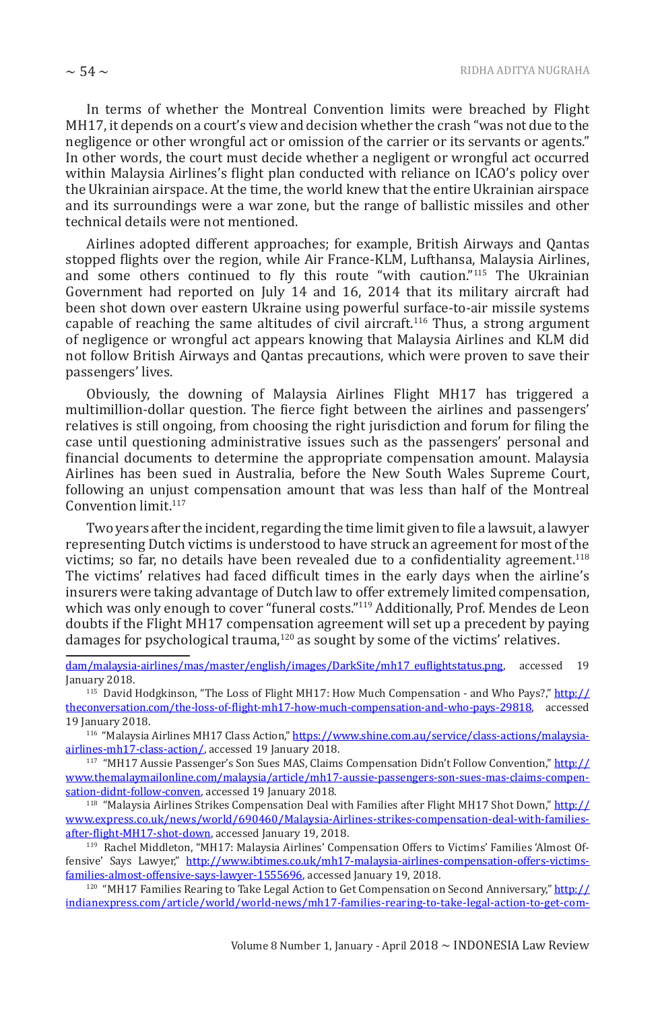In terms of whether the Montreal Convention limits were breached by Flight MH17, it depends on a court's view and decision whether the crash "was not due to the negligence or other wrongful act or omission of the carrier or its servants or agents." In other words, the court must decide whether a negligent or wrongful act occurred within Malaysia Airlines's flight plan conducted with reliance on ICAO's policy over the Ukrainian airspace. At the time, the world knew that the entire Ukrainian airspace and its surroundings were a war zone, but the range of ballistic missiles and other technical details were not mentioned.

Airlines adopted different approaches; for example, British Airways and Qantas stopped flights over the region, while Air France-KLM, Lufthansa, Malaysia Airlines, and some others continued to fly this route "with caution."<sup>115</sup> The Ukrainian Government had reported on July 14 and 16, 2014 that its military aircraft had been shot down over eastern Ukraine using powerful surface-to-air missile systems capable of reaching the same altitudes of civil aircraft.116 Thus, a strong argument of negligence or wrongful act appears knowing that Malaysia Airlines and KLM did not follow British Airways and Qantas precautions, which were proven to save their passengers' lives.

Obviously, the downing of Malaysia Airlines Flight MH17 has triggered a multimillion-dollar question. The fierce fight between the airlines and passengers' relatives is still ongoing, from choosing the right jurisdiction and forum for filing the case until questioning administrative issues such as the passengers' personal and financial documents to determine the appropriate compensation amount. Malaysia Airlines has been sued in Australia, before the New South Wales Supreme Court, following an unjust compensation amount that was less than half of the Montreal Convention limit.<sup>117</sup>

Two years after the incident, regarding the time limit given to file a lawsuit, a lawyer representing Dutch victims is understood to have struck an agreement for most of the victims; so far, no details have been revealed due to a confidentiality agreement.<sup>118</sup> The victims' relatives had faced difficult times in the early days when the airline's insurers were taking advantage of Dutch law to offer extremely limited compensation, which was only enough to cover "funeral costs."<sup>119</sup> Additionally, Prof. Mendes de Leon doubts if the Flight MH17 compensation agreement will set up a precedent by paying damages for psychological trauma,<sup>120</sup> as sought by some of the victims' relatives.

dam/malaysia-airlines/mas/master/english/images/DarkSite/mh17\_euflightstatus.png, accessed 19 January 2018.

<sup>115</sup> David Hodgkinson, "The Loss of Flight MH17: How Much Compensation - and Who Pays?," http:// theconversation.com/the-loss-of-flight-mh17-how-much-compensation-and-who-pays-29818, accessed 19 **January 2018**.

<sup>116</sup> "Malaysia Airlines MH17 Class Action," https://www.shine.com.au/service/class-actions/malaysiaairlines-mh17-class-action/, accessed 19 January 2018.

<sup>117</sup> "MH17 Aussie Passenger's Son Sues MAS, Claims Compensation Didn't Follow Convention," http:// www.themalaymailonline.com/malaysia/article/mh17-aussie-passengers-son-sues-mas-claims-compensation-didnt-follow-conven, accessed 19 January 2018.

<sup>118</sup> "Malaysia Airlines Strikes Compensation Deal with Families after Flight MH17 Shot Down," http:// www.express.co.uk/news/world/690460/Malaysia-Airlines-strikes-compensation-deal-with-familiesafter-flight-MH17-shot-down, accessed January 19, 2018.

119 Rachel Middleton, "MH17: Malaysia Airlines' Compensation Offers to Victims' Families 'Almost Offensive' Says Lawyer," http://www.ibtimes.co.uk/mh17-malaysia-airlines-compensation-offers-victimsfamilies-almost-offensive-says-lawyer-1555696, accessed January 19, 2018.

<sup>120</sup> "MH17 Families Rearing to Take Legal Action to Get Compensation on Second Anniversary," http:// indianexpress.com/article/world/world-news/mh17-families-rearing-to-take-legal-action-to-get-com-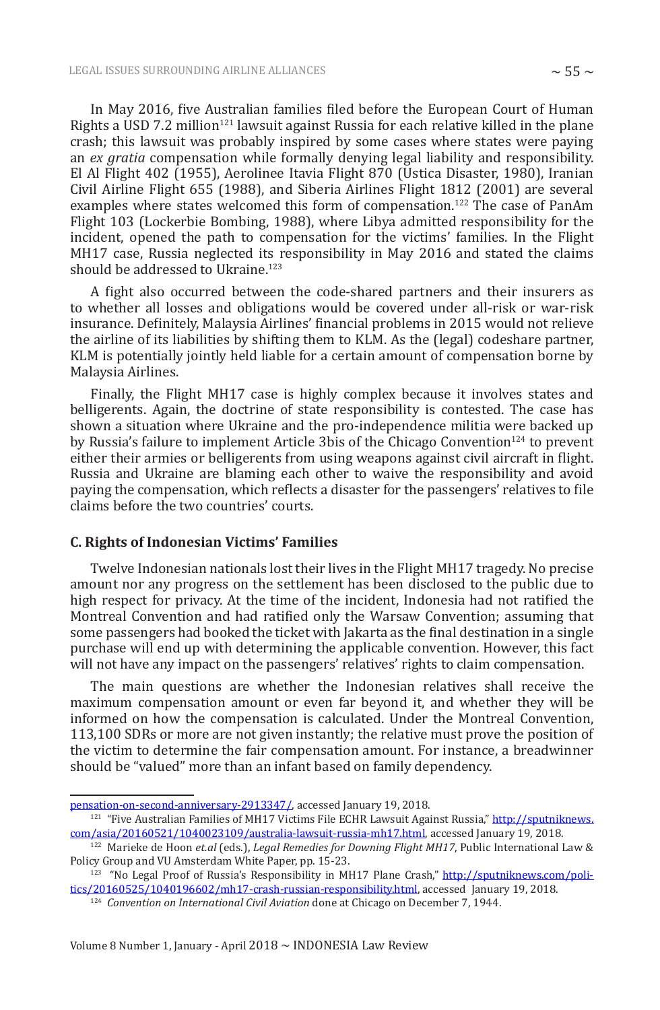In May 2016, five Australian families filed before the European Court of Human Rights a USD 7.2 million<sup>121</sup> lawsuit against Russia for each relative killed in the plane crash; this lawsuit was probably inspired by some cases where states were paying an *ex gratia* compensation while formally denying legal liability and responsibility. El Al Flight 402 (1955), Aerolinee Itavia Flight 870 (Ustica Disaster, 1980), Iranian Civil Airline Flight 655 (1988), and Siberia Airlines Flight 1812 (2001) are several examples where states welcomed this form of compensation.<sup>122</sup> The case of PanAm Flight 103 (Lockerbie Bombing, 1988), where Libya admitted responsibility for the incident, opened the path to compensation for the victims' families. In the Flight MH17 case, Russia neglected its responsibility in May 2016 and stated the claims should be addressed to Ukraine.<sup>123</sup>

A fight also occurred between the code-shared partners and their insurers as to whether all losses and obligations would be covered under all-risk or war-risk insurance. Definitely, Malaysia Airlines' financial problems in 2015 would not relieve the airline of its liabilities by shifting them to KLM. As the (legal) codeshare partner, KLM is potentially jointly held liable for a certain amount of compensation borne by Malaysia Airlines.

Finally, the Flight MH17 case is highly complex because it involves states and belligerents. Again, the doctrine of state responsibility is contested. The case has shown a situation where Ukraine and the pro-independence militia were backed up by Russia's failure to implement Article 3bis of the Chicago Convention<sup>124</sup> to prevent either their armies or belligerents from using weapons against civil aircraft in flight. Russia and Ukraine are blaming each other to waive the responsibility and avoid paying the compensation, which reflects a disaster for the passengers' relatives to file claims before the two countries' courts.

#### **C. Rights of Indonesian Victims' Families**

Twelve Indonesian nationals lost their lives in the Flight MH17 tragedy. No precise amount nor any progress on the settlement has been disclosed to the public due to high respect for privacy. At the time of the incident, Indonesia had not ratified the Montreal Convention and had ratified only the Warsaw Convention; assuming that some passengers had booked the ticket with Jakarta as the final destination in a single purchase will end up with determining the applicable convention. However, this fact will not have any impact on the passengers' relatives' rights to claim compensation.

The main questions are whether the Indonesian relatives shall receive the maximum compensation amount or even far beyond it, and whether they will be informed on how the compensation is calculated. Under the Montreal Convention, 113,100 SDRs or more are not given instantly; the relative must prove the position of the victim to determine the fair compensation amount. For instance, a breadwinner should be "valued" more than an infant based on family dependency.

pensation-on-second-anniversary-2913347/, accessed January 19, 2018.

<sup>&</sup>lt;sup>121</sup> "Five Australian Families of MH17 Victims File ECHR Lawsuit Against Russia," http://sputniknews. com/asia/20160521/1040023109/australia-lawsuit-russia-mh17.html, accessed January 19, 2018.

<sup>122</sup> Marieke de Hoon *et.al* (eds.), *Legal Remedies for Downing Flight MH17*, Public International Law & Policy Group and VU Amsterdam White Paper, pp. 15-23.

<sup>&</sup>lt;sup>123</sup> "No Legal Proof of Russia's Responsibility in MH17 Plane Crash," http://sputniknews.com/politics/20160525/1040196602/mh17-crash-russian-responsibility.html, accessed January 19, 2018.

<sup>124</sup> *Convention on International Civil Aviation* done at Chicago on December 7, 1944.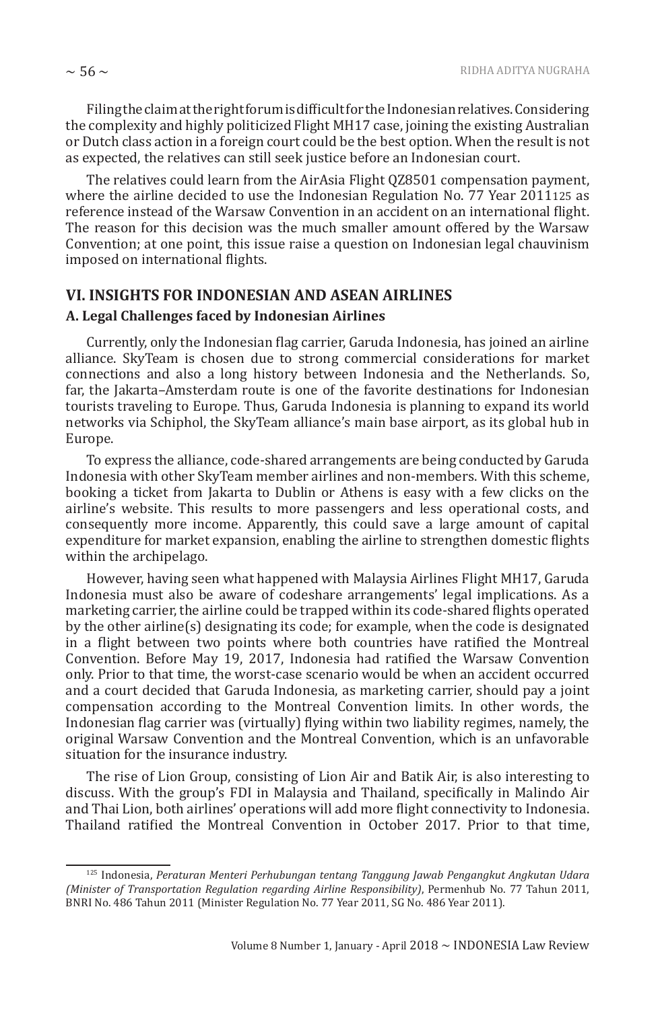Filing the claim at the right forum is difficult for the Indonesian relatives. Considering the complexity and highly politicized Flight MH17 case, joining the existing Australian or Dutch class action in a foreign court could be the best option. When the result is not as expected, the relatives can still seek justice before an Indonesian court.

The relatives could learn from the AirAsia Flight QZ8501 compensation payment, where the airline decided to use the Indonesian Regulation No. 77 Year 2011125 as reference instead of the Warsaw Convention in an accident on an international flight. The reason for this decision was the much smaller amount offered by the Warsaw Convention; at one point, this issue raise a question on Indonesian legal chauvinism imposed on international flights.

# **VI. INSIGHTS FOR INDONESIAN AND ASEAN AIRLINES**

#### **A. Legal Challenges faced by Indonesian Airlines**

Currently, only the Indonesian flag carrier, Garuda Indonesia, has joined an airline alliance. SkyTeam is chosen due to strong commercial considerations for market connections and also a long history between Indonesia and the Netherlands. So, far, the Jakarta–Amsterdam route is one of the favorite destinations for Indonesian tourists traveling to Europe. Thus, Garuda Indonesia is planning to expand its world networks via Schiphol, the SkyTeam alliance's main base airport, as its global hub in Europe.

To express the alliance, code-shared arrangements are being conducted by Garuda Indonesia with other SkyTeam member airlines and non-members. With this scheme, booking a ticket from Jakarta to Dublin or Athens is easy with a few clicks on the airline's website. This results to more passengers and less operational costs, and consequently more income. Apparently, this could save a large amount of capital expenditure for market expansion, enabling the airline to strengthen domestic flights within the archipelago.

However, having seen what happened with Malaysia Airlines Flight MH17, Garuda Indonesia must also be aware of codeshare arrangements' legal implications. As a marketing carrier, the airline could be trapped within its code-shared flights operated by the other airline(s) designating its code; for example, when the code is designated in a flight between two points where both countries have ratified the Montreal Convention. Before May 19, 2017, Indonesia had ratified the Warsaw Convention only. Prior to that time, the worst-case scenario would be when an accident occurred and a court decided that Garuda Indonesia, as marketing carrier, should pay a joint compensation according to the Montreal Convention limits. In other words, the Indonesian flag carrier was (virtually) flying within two liability regimes, namely, the original Warsaw Convention and the Montreal Convention, which is an unfavorable situation for the insurance industry.

The rise of Lion Group, consisting of Lion Air and Batik Air, is also interesting to discuss. With the group's FDI in Malaysia and Thailand, specifically in Malindo Air and Thai Lion, both airlines' operations will add more flight connectivity to Indonesia. Thailand ratified the Montreal Convention in October 2017. Prior to that time,

<sup>125</sup> Indonesia, *Peraturan Menteri Perhubungan tentang Tanggung Jawab Pengangkut Angkutan Udara (Minister of Transportation Regulation regarding Airline Responsibility)*, Permenhub No. 77 Tahun 2011, BNRI No. 486 Tahun 2011 (Minister Regulation No. 77 Year 2011, SG No. 486 Year 2011).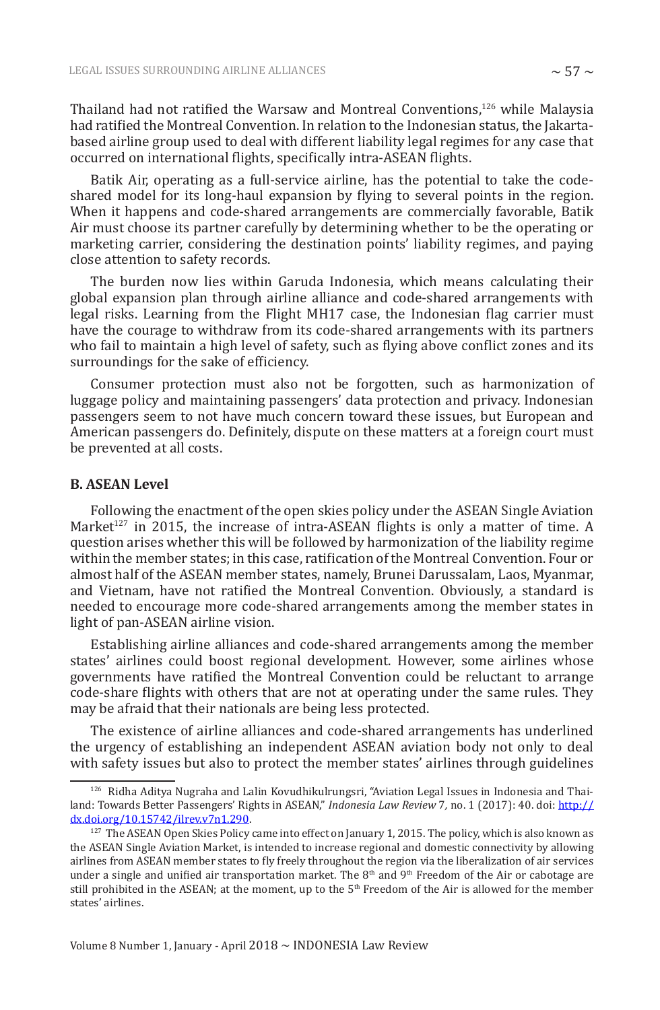Thailand had not ratified the Warsaw and Montreal Conventions,<sup>126</sup> while Malaysia had ratified the Montreal Convention. In relation to the Indonesian status, the Jakartabased airline group used to deal with different liability legal regimes for any case that occurred on international flights, specifically intra-ASEAN flights.

Batik Air, operating as a full-service airline, has the potential to take the codeshared model for its long-haul expansion by flying to several points in the region. When it happens and code-shared arrangements are commercially favorable, Batik Air must choose its partner carefully by determining whether to be the operating or marketing carrier, considering the destination points' liability regimes, and paying close attention to safety records.

The burden now lies within Garuda Indonesia, which means calculating their global expansion plan through airline alliance and code-shared arrangements with legal risks. Learning from the Flight MH17 case, the Indonesian flag carrier must have the courage to withdraw from its code-shared arrangements with its partners who fail to maintain a high level of safety, such as flying above conflict zones and its surroundings for the sake of efficiency.

Consumer protection must also not be forgotten, such as harmonization of luggage policy and maintaining passengers' data protection and privacy. Indonesian passengers seem to not have much concern toward these issues, but European and American passengers do. Definitely, dispute on these matters at a foreign court must be prevented at all costs.

#### **B. ASEAN Level**

Following the enactment of the open skies policy under the ASEAN Single Aviation Market<sup>127</sup> in 2015, the increase of intra-ASEAN flights is only a matter of time. A question arises whether this will be followed by harmonization of the liability regime within the member states; in this case, ratification of the Montreal Convention. Four or almost half of the ASEAN member states, namely, Brunei Darussalam, Laos, Myanmar, and Vietnam, have not ratified the Montreal Convention. Obviously, a standard is needed to encourage more code-shared arrangements among the member states in light of pan-ASEAN airline vision.

Establishing airline alliances and code-shared arrangements among the member states' airlines could boost regional development. However, some airlines whose governments have ratified the Montreal Convention could be reluctant to arrange code-share flights with others that are not at operating under the same rules. They may be afraid that their nationals are being less protected.

The existence of airline alliances and code-shared arrangements has underlined the urgency of establishing an independent ASEAN aviation body not only to deal with safety issues but also to protect the member states' airlines through guidelines

<sup>126</sup> Ridha Aditya Nugraha and Lalin Kovudhikulrungsri, "Aviation Legal Issues in Indonesia and Thailand: Towards Better Passengers' Rights in ASEAN," *Indonesia Law Review* 7*,* no. 1 (2017): 40. doi: http:// dx.doi.org/10.15742/ilrev.v7n1.290.

<sup>&</sup>lt;sup>127</sup> The ASEAN Open Skies Policy came into effect on January 1, 2015. The policy, which is also known as the ASEAN Single Aviation Market, is intended to increase regional and domestic connectivity by allowing airlines from ASEAN member states to fly freely throughout the region via the liberalization of air services under a single and unified air transportation market. The  $8<sup>th</sup>$  and  $9<sup>th</sup>$  Freedom of the Air or cabotage are still prohibited in the ASEAN; at the moment, up to the 5th Freedom of the Air is allowed for the member states' airlines.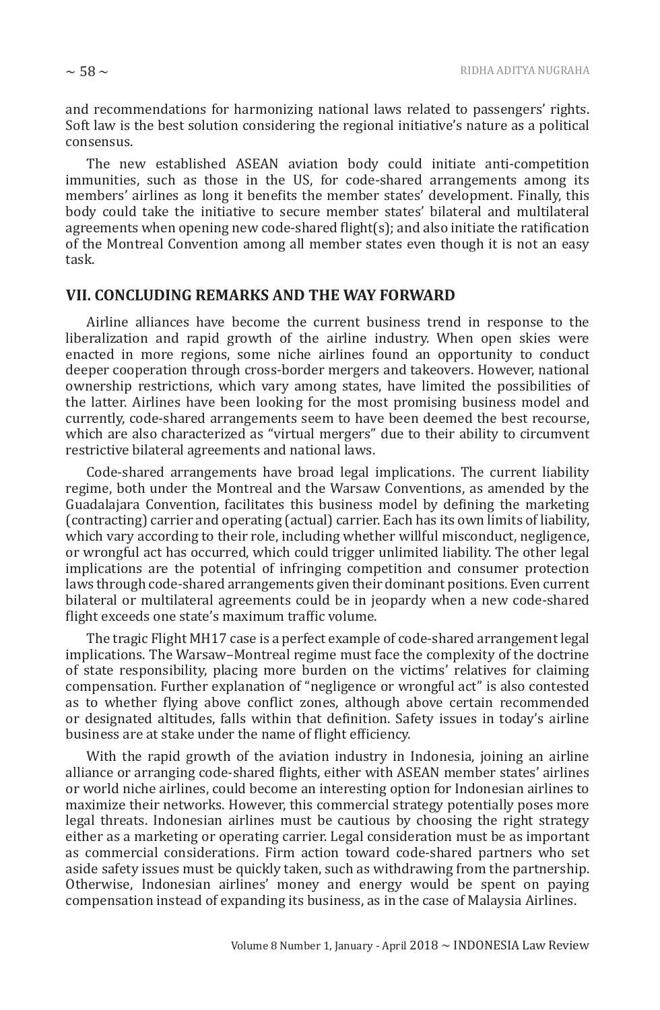The new established ASEAN aviation body could initiate anti-competition immunities, such as those in the US, for code-shared arrangements among its members' airlines as long it benefits the member states' development. Finally, this body could take the initiative to secure member states' bilateral and multilateral agreements when opening new code-shared flight(s); and also initiate the ratification of the Montreal Convention among all member states even though it is not an easy task.

## **VII. CONCLUDING REMARKS AND THE WAY FORWARD**

Airline alliances have become the current business trend in response to the liberalization and rapid growth of the airline industry. When open skies were enacted in more regions, some niche airlines found an opportunity to conduct deeper cooperation through cross-border mergers and takeovers. However, national ownership restrictions, which vary among states, have limited the possibilities of the latter. Airlines have been looking for the most promising business model and currently, code-shared arrangements seem to have been deemed the best recourse, which are also characterized as "virtual mergers" due to their ability to circumvent restrictive bilateral agreements and national laws.

Code-shared arrangements have broad legal implications. The current liability regime, both under the Montreal and the Warsaw Conventions, as amended by the Guadalajara Convention, facilitates this business model by defining the marketing (contracting) carrier and operating (actual) carrier. Each has its own limits of liability, which vary according to their role, including whether willful misconduct, negligence, or wrongful act has occurred, which could trigger unlimited liability. The other legal implications are the potential of infringing competition and consumer protection laws through code-shared arrangements given their dominant positions. Even current bilateral or multilateral agreements could be in jeopardy when a new code-shared flight exceeds one state's maximum traffic volume.

The tragic Flight MH17 case is a perfect example of code-shared arrangement legal implications. The Warsaw–Montreal regime must face the complexity of the doctrine of state responsibility, placing more burden on the victims' relatives for claiming compensation. Further explanation of "negligence or wrongful act" is also contested as to whether flying above conflict zones, although above certain recommended or designated altitudes, falls within that definition. Safety issues in today's airline business are at stake under the name of flight efficiency.

With the rapid growth of the aviation industry in Indonesia, joining an airline alliance or arranging code-shared flights, either with ASEAN member states' airlines or world niche airlines, could become an interesting option for Indonesian airlines to maximize their networks. However, this commercial strategy potentially poses more legal threats. Indonesian airlines must be cautious by choosing the right strategy either as a marketing or operating carrier. Legal consideration must be as important as commercial considerations. Firm action toward code-shared partners who set aside safety issues must be quickly taken, such as withdrawing from the partnership. Otherwise, Indonesian airlines' money and energy would be spent on paying compensation instead of expanding its business, as in the case of Malaysia Airlines.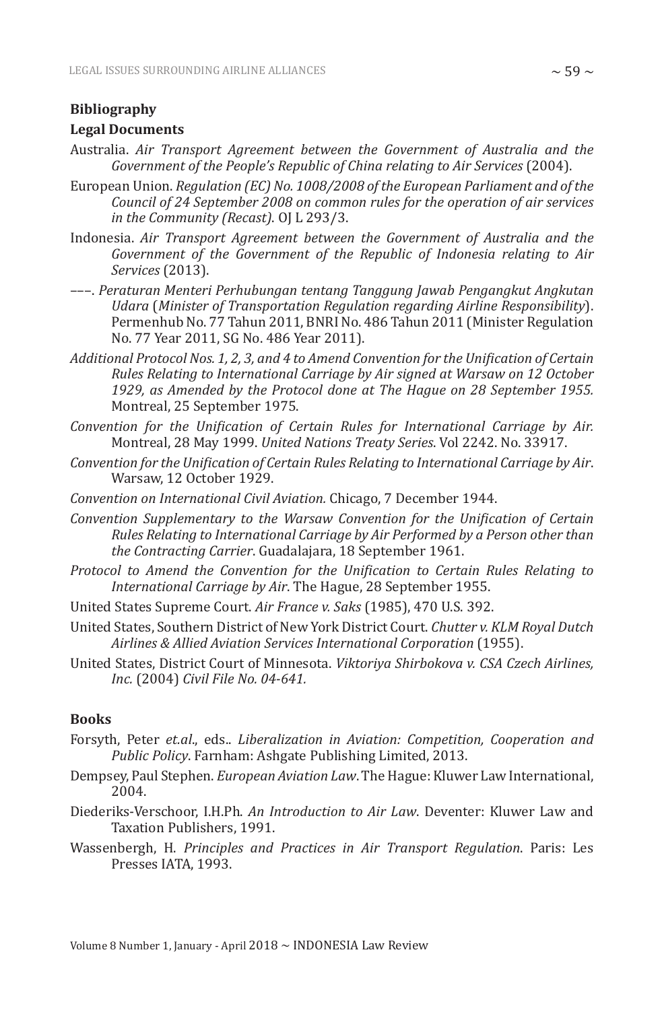#### **Bibliography**

#### **Legal Documents**

- Australia. *Air Transport Agreement between the Government of Australia and the Government of the People's Republic of China relating to Air Services* (2004).
- European Union. *Regulation (EC) No. 1008/2008 of the European Parliament and of the Council of 24 September 2008 on common rules for the operation of air services in the Community (Recast)*. OJ L 293/3.
- Indonesia. *Air Transport Agreement between the Government of Australia and the Government of the Government of the Republic of Indonesia relating to Air Services* (2013).
- –––. *Peraturan Menteri Perhubungan tentang Tanggung Jawab Pengangkut Angkutan Udara* (*Minister of Transportation Regulation regarding Airline Responsibility*). Permenhub No. 77 Tahun 2011, BNRI No. 486 Tahun 2011 (Minister Regulation No. 77 Year 2011, SG No. 486 Year 2011).
- *Additional Protocol Nos. 1, 2, 3, and 4 to Amend Convention for the Unification of Certain Rules Relating to International Carriage by Air signed at Warsaw on 12 October 1929, as Amended by the Protocol done at The Hague on 28 September 1955.* Montreal, 25 September 1975.
- *Convention for the Unification of Certain Rules for International Carriage by Air.*  Montreal, 28 May 1999. *United Nations Treaty Series*. Vol 2242. No. 33917.
- *Convention for the Unification of Certain Rules Relating to International Carriage by Air*. Warsaw, 12 October 1929.
- *Convention on International Civil Aviation.* Chicago, 7 December 1944.
- *Convention Supplementary to the Warsaw Convention for the Unification of Certain Rules Relating to International Carriage by Air Performed by a Person other than the Contracting Carrier*. Guadalajara, 18 September 1961.
- *Protocol to Amend the Convention for the Unification to Certain Rules Relating to International Carriage by Air*. The Hague, 28 September 1955.
- United States Supreme Court. *Air France v. Saks* (1985), 470 U.S. 392.
- United States, Southern District of New York District Court. *Chutter v. KLM Royal Dutch Airlines & Allied Aviation Services International Corporation* (1955).
- United States, District Court of Minnesota. *Viktoriya Shirbokova v. CSA Czech Airlines, Inc.* (2004) *Civil File No. 04-641.*

#### **Books**

- Forsyth, Peter *et.al*., eds.. *Liberalization in Aviation: Competition, Cooperation and Public Policy*. Farnham: Ashgate Publishing Limited, 2013.
- Dempsey, Paul Stephen. *European Aviation Law*. The Hague: Kluwer Law International, 2004.
- Diederiks-Verschoor, I.H.Ph. *An Introduction to Air Law*. Deventer: Kluwer Law and Taxation Publishers, 1991.
- Wassenbergh, H. *Principles and Practices in Air Transport Regulation*. Paris: Les Presses IATA, 1993.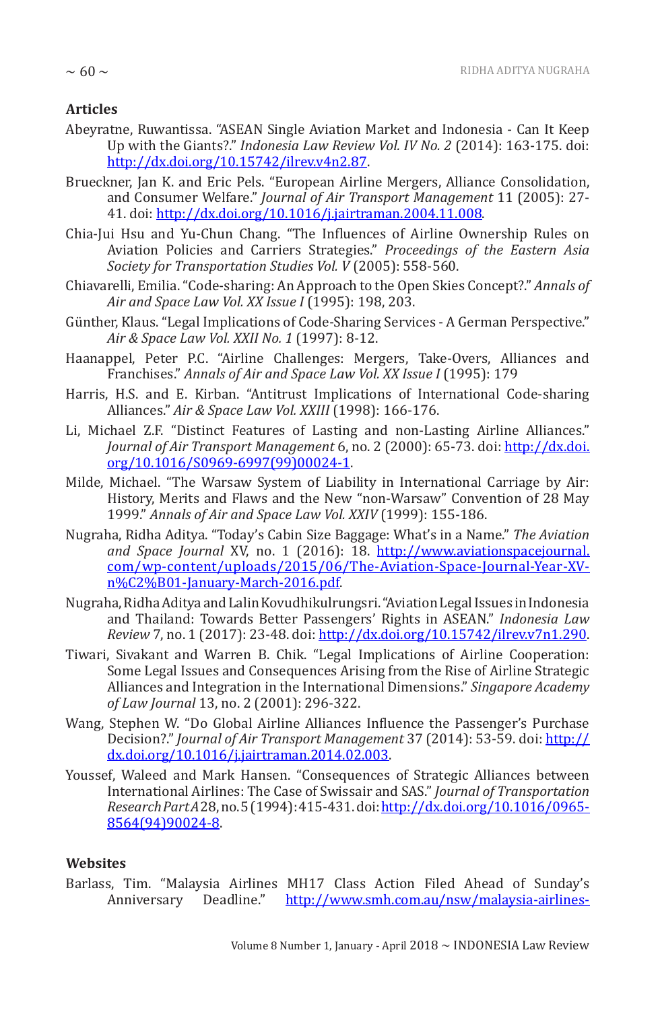## **Articles**

- Abeyratne, Ruwantissa. "ASEAN Single Aviation Market and Indonesia Can It Keep Up with the Giants?." *Indonesia Law Review Vol. IV No. 2* (2014): 163-175. doi: http://dx.doi.org/10.15742/ilrev.v4n2.87.
- Brueckner, Jan K. and Eric Pels. "European Airline Mergers, Alliance Consolidation, and Consumer Welfare." *Journal of Air Transport Management* 11 (2005): 27- 41. doi: http://dx.doi.org/10.1016/j.jairtraman.2004.11.008.
- Chia-Jui Hsu and Yu-Chun Chang. "The Influences of Airline Ownership Rules on Aviation Policies and Carriers Strategies." *Proceedings of the Eastern Asia Society for Transportation Studies Vol. V* (2005): 558-560.
- Chiavarelli, Emilia. "Code-sharing: An Approach to the Open Skies Concept?." *Annals of Air and Space Law Vol. XX Issue I* (1995): 198, 203.
- Günther, Klaus. "Legal Implications of Code-Sharing Services A German Perspective." *Air & Space Law Vol. XXII No. 1* (1997): 8-12.
- Haanappel, Peter P.C. "Airline Challenges: Mergers, Take-Overs, Alliances and Franchises." *Annals of Air and Space Law Vol. XX Issue I* (1995): 179
- Harris, H.S. and E. Kirban. "Antitrust Implications of International Code-sharing Alliances." *Air & Space Law Vol. XXIII* (1998): 166-176.
- Li, Michael Z.F. "Distinct Features of Lasting and non-Lasting Airline Alliances." *Journal of Air Transport Management* 6, no. 2 (2000): 65-73. doi: http://dx.doi. org/10.1016/S0969-6997(99)00024-1.
- Milde, Michael. "The Warsaw System of Liability in International Carriage by Air: History, Merits and Flaws and the New "non-Warsaw" Convention of 28 May 1999." *Annals of Air and Space Law Vol. XXIV* (1999): 155-186.
- Nugraha, Ridha Aditya. "Today's Cabin Size Baggage: What's in a Name." *The Aviation and Space Journal* XV, no. 1 (2016): 18. http://www.aviationspacejournal. com/wp-content/uploads/2015/06/The-Aviation-Space-Journal-Year-XVn%C2%B01-January-March-2016.pdf.
- Nugraha, Ridha Aditya and Lalin Kovudhikulrungsri. "Aviation Legal Issues in Indonesia and Thailand: Towards Better Passengers' Rights in ASEAN." *Indonesia Law Review* 7, no. 1 (2017): 23-48. doi: http://dx.doi.org/10.15742/ilrev.v7n1.290.
- Tiwari, Sivakant and Warren B. Chik. "Legal Implications of Airline Cooperation: Some Legal Issues and Consequences Arising from the Rise of Airline Strategic Alliances and Integration in the International Dimensions." *Singapore Academy of Law Journal* 13, no. 2 (2001): 296-322.
- Wang, Stephen W. "Do Global Airline Alliances Influence the Passenger's Purchase Decision?." *Journal of Air Transport Management* 37 (2014): 53-59. doi: http:// dx.doi.org/10.1016/j.jairtraman.2014.02.003.
- Youssef, Waleed and Mark Hansen. "Consequences of Strategic Alliances between International Airlines: The Case of Swissair and SAS." *Journal of Transportation Research Part A* 28, no. 5 (1994): 415-431. doi: http://dx.doi.org/10.1016/0965- 8564(94)90024-8.

## **Websites**

Barlass, Tim. "Malaysia Airlines MH17 Class Action Filed Ahead of Sunday's Anniversary Deadline." http://www.smh.com.au/nsw/malaysia-airlines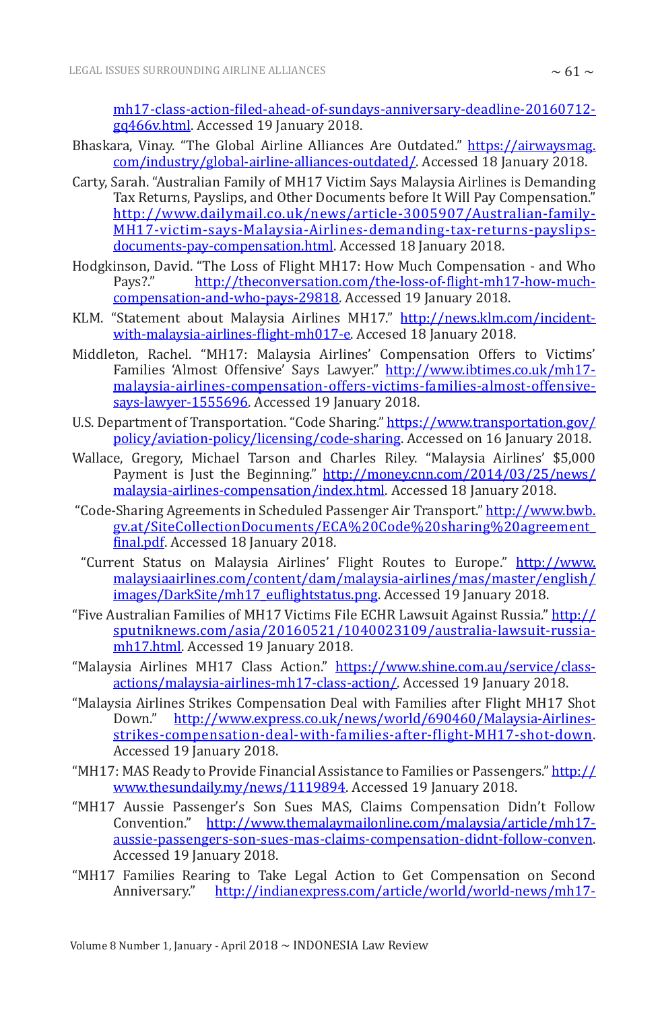mh17-class-action-filed-ahead-of-sundays-anniversary-deadline-20160712 gq466v.html. Accessed 19 January 2018.

- Bhaskara, Vinay. "The Global Airline Alliances Are Outdated." https://airwaysmag. com/industry/global-airline-alliances-outdated/. Accessed 18 January 2018.
- Carty, Sarah. "Australian Family of MH17 Victim Says Malaysia Airlines is Demanding Tax Returns, Payslips, and Other Documents before It Will Pay Compensation." http://www.dailymail.co.uk/news/article-3005907/Australian-family-MH17-victim-says-Malaysia-Airlines-demanding-tax-returns-payslipsdocuments-pay-compensation.html. Accessed 18 January 2018.
- Hodgkinson, David. "The Loss of Flight MH17: How Much Compensation and Who http://theconversation.com/the-loss-of-flight-mh17-how-muchcompensation-and-who-pays-29818. Accessed 19 January 2018.
- KLM. "Statement about Malaysia Airlines MH17." http://news.klm.com/incidentwith-malaysia-airlines-flight-mh017-e. Accesed 18 January 2018.
- Middleton, Rachel. "MH17: Malaysia Airlines' Compensation Offers to Victims' Families 'Almost Offensive' Says Lawyer." http://www.ibtimes.co.uk/mh17malaysia-airlines-compensation-offers-victims-families-almost-offensivesays-lawyer-1555696. Accessed 19 January 2018.
- U.S. Department of Transportation. "Code Sharing." https://www.transportation.gov/ policy/aviation-policy/licensing/code-sharing. Accessed on 16 January 2018.
- Wallace, Gregory, Michael Tarson and Charles Riley. "Malaysia Airlines' \$5,000 Payment is Just the Beginning." http://money.cnn.com/2014/03/25/news/ malaysia-airlines-compensation/index.html. Accessed 18 January 2018.
- "Code-Sharing Agreements in Scheduled Passenger Air Transport." http://www.bwb. gv.at/SiteCollectionDocuments/ECA%20Code%20sharing%20agreement\_ final.pdf. Accessed 18 January 2018.
- "Current Status on Malaysia Airlines' Flight Routes to Europe." http://www. malaysiaairlines.com/content/dam/malaysia-airlines/mas/master/english/ images/DarkSite/mh17\_euflightstatus.png. Accessed 19 January 2018.
- "Five Australian Families of MH17 Victims File ECHR Lawsuit Against Russia." http:// sputniknews.com/asia/20160521/1040023109/australia-lawsuit-russiamh17.html. Accessed 19 January 2018.
- "Malaysia Airlines MH17 Class Action." https://www.shine.com.au/service/classactions/malaysia-airlines-mh17-class-action/. Accessed 19 January 2018.
- "Malaysia Airlines Strikes Compensation Deal with Families after Flight MH17 Shot Down." http://www.express.co.uk/news/world/690460/Malaysia-Airlinesstrikes-compensation-deal-with-families-after-flight-MH17-shot-down. Accessed 19 January 2018.
- "MH17: MAS Ready to Provide Financial Assistance to Families or Passengers." http:// www.thesundaily.my/news/1119894. Accessed 19 January 2018.
- "MH17 Aussie Passenger's Son Sues MAS, Claims Compensation Didn't Follow Convention." http://www.themalaymailonline.com/malaysia/article/mh17 aussie-passengers-son-sues-mas-claims-compensation-didnt-follow-conven. Accessed 19 January 2018.
- "MH17 Families Rearing to Take Legal Action to Get Compensation on Second Anniversary." http://indianexpress.com/article/world/world-news/mh17-